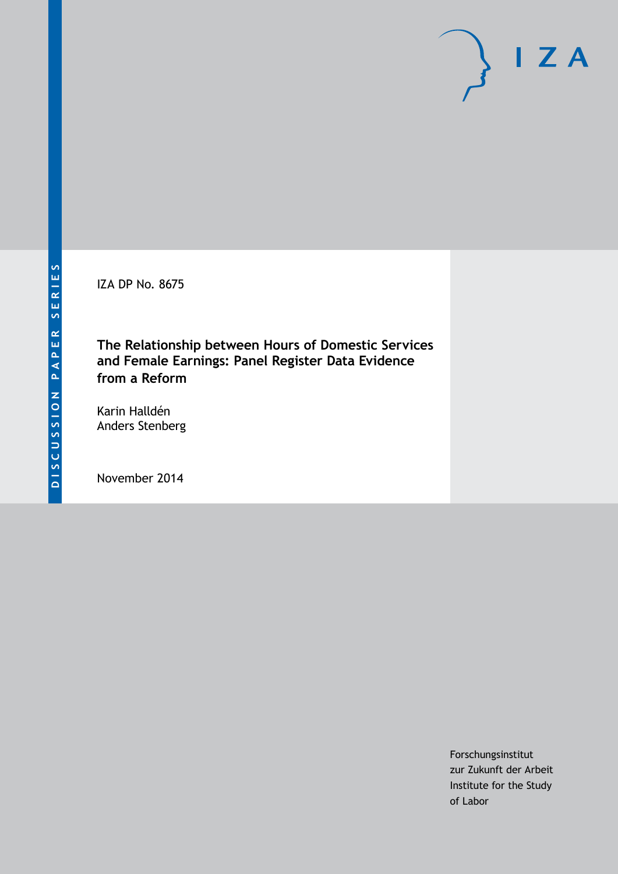IZA DP No. 8675

**The Relationship between Hours of Domestic Services and Female Earnings: Panel Register Data Evidence from a Reform**

Karin Halldén Anders Stenberg

November 2014

Forschungsinstitut zur Zukunft der Arbeit Institute for the Study of Labor

 $I Z A$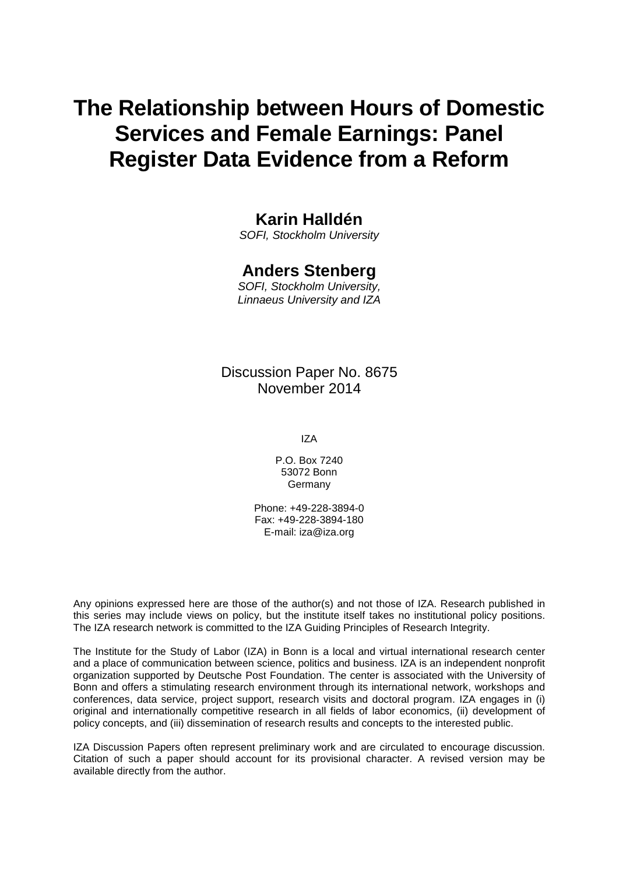# **The Relationship between Hours of Domestic Services and Female Earnings: Panel Register Data Evidence from a Reform**

### **Karin Halldén**

*SOFI, Stockholm University*

### **Anders Stenberg**

*SOFI, Stockholm University, Linnaeus University and IZA*

### Discussion Paper No. 8675 November 2014

IZA

P.O. Box 7240 53072 Bonn Germany

Phone: +49-228-3894-0 Fax: +49-228-3894-180 E-mail: [iza@iza.org](mailto:iza@iza.org)

Any opinions expressed here are those of the author(s) and not those of IZA. Research published in this series may include views on policy, but the institute itself takes no institutional policy positions. The IZA research network is committed to the IZA Guiding Principles of Research Integrity.

The Institute for the Study of Labor (IZA) in Bonn is a local and virtual international research center and a place of communication between science, politics and business. IZA is an independent nonprofit organization supported by Deutsche Post Foundation. The center is associated with the University of Bonn and offers a stimulating research environment through its international network, workshops and conferences, data service, project support, research visits and doctoral program. IZA engages in (i) original and internationally competitive research in all fields of labor economics, (ii) development of policy concepts, and (iii) dissemination of research results and concepts to the interested public.

<span id="page-1-0"></span>IZA Discussion Papers often represent preliminary work and are circulated to encourage discussion. Citation of such a paper should account for its provisional character. A revised version may be available directly from the author.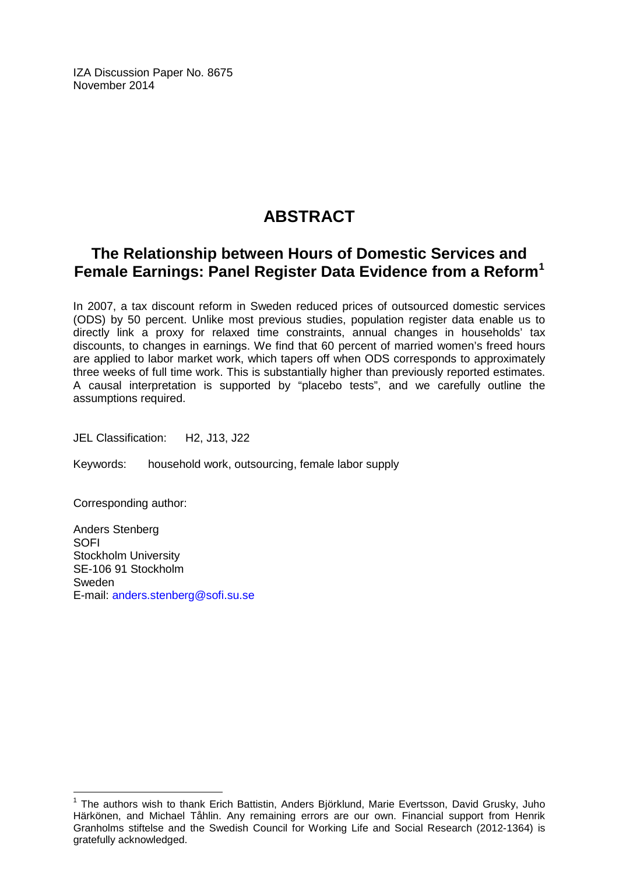IZA Discussion Paper No. 8675 November 2014

# **ABSTRACT**

## **The Relationship between Hours of Domestic Services and Female Earnings: Panel Register Data Evidence from a Reform[1](#page-1-0)**

In 2007, a tax discount reform in Sweden reduced prices of outsourced domestic services (ODS) by 50 percent. Unlike most previous studies, population register data enable us to directly link a proxy for relaxed time constraints, annual changes in households' tax discounts, to changes in earnings. We find that 60 percent of married women's freed hours are applied to labor market work, which tapers off when ODS corresponds to approximately three weeks of full time work. This is substantially higher than previously reported estimates. A causal interpretation is supported by "placebo tests", and we carefully outline the assumptions required.

JEL Classification: H2, J13, J22

Keywords: household work, outsourcing, female labor supply

Corresponding author:

Anders Stenberg SOFI Stockholm University SE-106 91 Stockholm Sweden E-mail: [anders.stenberg@sofi.su.se](mailto:anders.stenberg@sofi.su.se)

 $1$  The authors wish to thank Erich Battistin, Anders Björklund, Marie Evertsson, David Grusky, Juho Härkönen, and Michael Tåhlin. Any remaining errors are our own. Financial support from Henrik Granholms stiftelse and the Swedish Council for Working Life and Social Research (2012-1364) is gratefully acknowledged.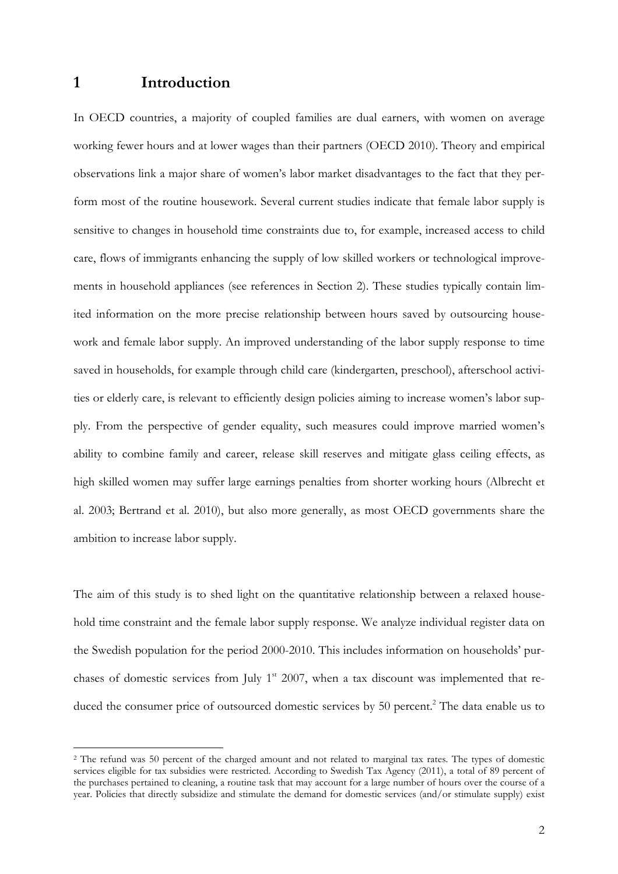### **1 Introduction**

 $\overline{a}$ 

In OECD countries, a majority of coupled families are dual earners, with women on average working fewer hours and at lower wages than their partners (OECD 2010). Theory and empirical observations link a major share of women's labor market disadvantages to the fact that they perform most of the routine housework. Several current studies indicate that female labor supply is sensitive to changes in household time constraints due to, for example, increased access to child care, flows of immigrants enhancing the supply of low skilled workers or technological improvements in household appliances (see references in Section 2). These studies typically contain limited information on the more precise relationship between hours saved by outsourcing housework and female labor supply. An improved understanding of the labor supply response to time saved in households, for example through child care (kindergarten, preschool), afterschool activities or elderly care, is relevant to efficiently design policies aiming to increase women's labor supply. From the perspective of gender equality, such measures could improve married women's ability to combine family and career, release skill reserves and mitigate glass ceiling effects, as high skilled women may suffer large earnings penalties from shorter working hours (Albrecht et al. 2003; Bertrand et al. 2010), but also more generally, as most OECD governments share the ambition to increase labor supply.

The aim of this study is to shed light on the quantitative relationship between a relaxed household time constraint and the female labor supply response. We analyze individual register data on the Swedish population for the period 2000-2010. This includes information on households' purchases of domestic services from July  $1<sup>st</sup>$  2007, when a tax discount was implemented that reduced the consumer price of outsourced domestic services by 50 percent.<sup>2</sup> The data enable us to

<sup>2</sup> The refund was 50 percent of the charged amount and not related to marginal tax rates. The types of domestic services eligible for tax subsidies were restricted. According to Swedish Tax Agency (2011), a total of 89 percent of the purchases pertained to cleaning, a routine task that may account for a large number of hours over the course of a year. Policies that directly subsidize and stimulate the demand for domestic services (and/or stimulate supply) exist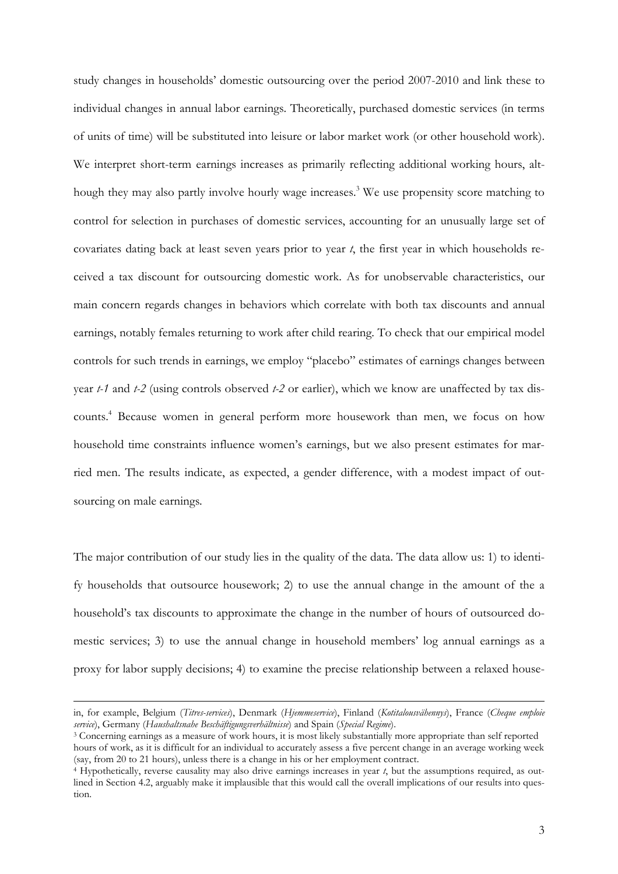study changes in households' domestic outsourcing over the period 2007-2010 and link these to individual changes in annual labor earnings. Theoretically, purchased domestic services (in terms of units of time) will be substituted into leisure or labor market work (or other household work). We interpret short-term earnings increases as primarily reflecting additional working hours, although they may also partly involve hourly wage increases. 3 We use propensity score matching to control for selection in purchases of domestic services, accounting for an unusually large set of covariates dating back at least seven years prior to year *t*, the first year in which households received a tax discount for outsourcing domestic work. As for unobservable characteristics, our main concern regards changes in behaviors which correlate with both tax discounts and annual earnings, notably females returning to work after child rearing. To check that our empirical model controls for such trends in earnings, we employ "placebo" estimates of earnings changes between year *t-1* and *t-2* (using controls observed *t-2* or earlier), which we know are unaffected by tax discounts.<sup>4</sup> Because women in general perform more housework than men, we focus on how household time constraints influence women's earnings, but we also present estimates for married men. The results indicate, as expected, a gender difference, with a modest impact of outsourcing on male earnings.

The major contribution of our study lies in the quality of the data. The data allow us: 1) to identify households that outsource housework; 2) to use the annual change in the amount of the a household's tax discounts to approximate the change in the number of hours of outsourced domestic services; 3) to use the annual change in household members' log annual earnings as a proxy for labor supply decisions; 4) to examine the precise relationship between a relaxed house-

in, for example, Belgium (*Titres-services*), Denmark (*Hjemmeservice*), Finland (*Kotitalousvähennys*), France (*Cheque emploie service*), Germany (*Haushaltsnahe Beschäftigungsverhältnisse*) and Spain (*Special Regime*).

<sup>3</sup> Concerning earnings as a measure of work hours, it is most likely substantially more appropriate than self reported hours of work, as it is difficult for an individual to accurately assess a five percent change in an average working week (say, from 20 to 21 hours), unless there is a change in his or her employment contract.

<sup>4</sup> Hypothetically, reverse causality may also drive earnings increases in year *t*, but the assumptions required, as outlined in Section 4.2, arguably make it implausible that this would call the overall implications of our results into question.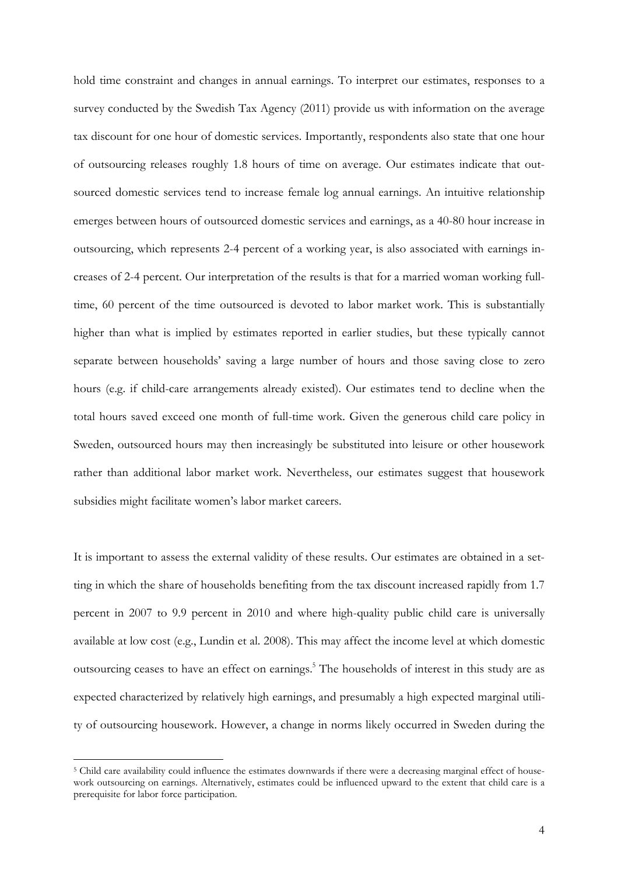hold time constraint and changes in annual earnings. To interpret our estimates, responses to a survey conducted by the Swedish Tax Agency (2011) provide us with information on the average tax discount for one hour of domestic services. Importantly, respondents also state that one hour of outsourcing releases roughly 1.8 hours of time on average. Our estimates indicate that outsourced domestic services tend to increase female log annual earnings. An intuitive relationship emerges between hours of outsourced domestic services and earnings, as a 40-80 hour increase in outsourcing, which represents 2-4 percent of a working year, is also associated with earnings increases of 2-4 percent. Our interpretation of the results is that for a married woman working fulltime, 60 percent of the time outsourced is devoted to labor market work. This is substantially higher than what is implied by estimates reported in earlier studies, but these typically cannot separate between households' saving a large number of hours and those saving close to zero hours (e.g. if child-care arrangements already existed). Our estimates tend to decline when the total hours saved exceed one month of full-time work. Given the generous child care policy in Sweden, outsourced hours may then increasingly be substituted into leisure or other housework rather than additional labor market work. Nevertheless, our estimates suggest that housework subsidies might facilitate women's labor market careers.

It is important to assess the external validity of these results. Our estimates are obtained in a setting in which the share of households benefiting from the tax discount increased rapidly from 1.7 percent in 2007 to 9.9 percent in 2010 and where high-quality public child care is universally available at low cost (e.g., Lundin et al. 2008). This may affect the income level at which domestic outsourcing ceases to have an effect on earnings.<sup>5</sup> The households of interest in this study are as expected characterized by relatively high earnings, and presumably a high expected marginal utility of outsourcing housework. However, a change in norms likely occurred in Sweden during the

<sup>&</sup>lt;sup>5</sup> Child care availability could influence the estimates downwards if there were a decreasing marginal effect of housework outsourcing on earnings. Alternatively, estimates could be influenced upward to the extent that child care is a prerequisite for labor force participation.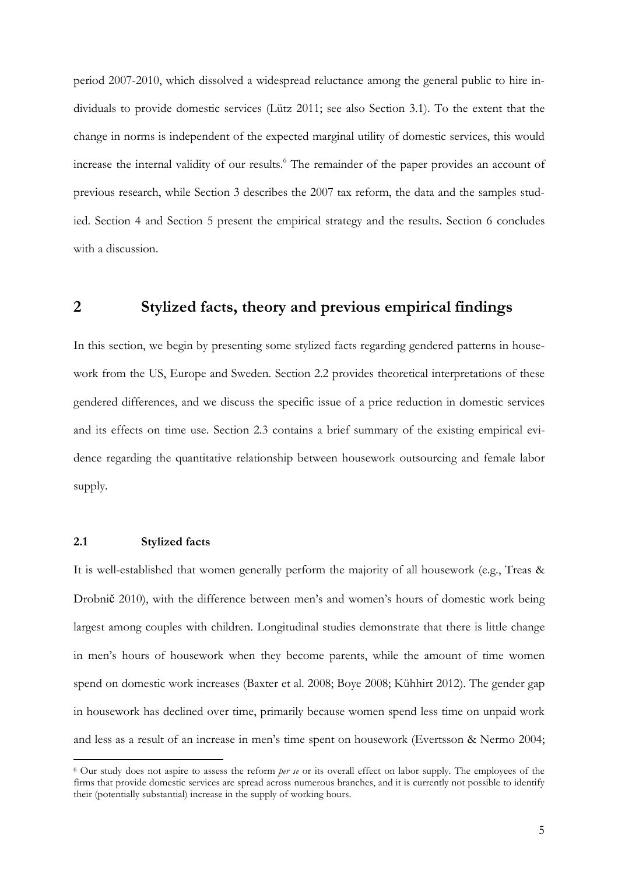period 2007-2010, which dissolved a widespread reluctance among the general public to hire individuals to provide domestic services (Lütz 2011; see also Section 3.1). To the extent that the change in norms is independent of the expected marginal utility of domestic services, this would increase the internal validity of our results.<sup>6</sup> The remainder of the paper provides an account of previous research, while Section 3 describes the 2007 tax reform, the data and the samples studied. Section 4 and Section 5 present the empirical strategy and the results. Section 6 concludes with a discussion.

### **2 Stylized facts, theory and previous empirical findings**

In this section, we begin by presenting some stylized facts regarding gendered patterns in housework from the US, Europe and Sweden. Section 2.2 provides theoretical interpretations of these gendered differences, and we discuss the specific issue of a price reduction in domestic services and its effects on time use. Section 2.3 contains a brief summary of the existing empirical evidence regarding the quantitative relationship between housework outsourcing and female labor supply.

#### **2.1 Stylized facts**

 $\overline{a}$ 

It is well-established that women generally perform the majority of all housework (e.g., Treas & Drobnič 2010), with the difference between men's and women's hours of domestic work being largest among couples with children. Longitudinal studies demonstrate that there is little change in men's hours of housework when they become parents, while the amount of time women spend on domestic work increases (Baxter et al. 2008; Boye 2008; Kühhirt 2012). The gender gap in housework has declined over time, primarily because women spend less time on unpaid work and less as a result of an increase in men's time spent on housework (Evertsson & Nermo 2004;

<sup>6</sup> Our study does not aspire to assess the reform *per se* or its overall effect on labor supply. The employees of the firms that provide domestic services are spread across numerous branches, and it is currently not possible to identify their (potentially substantial) increase in the supply of working hours.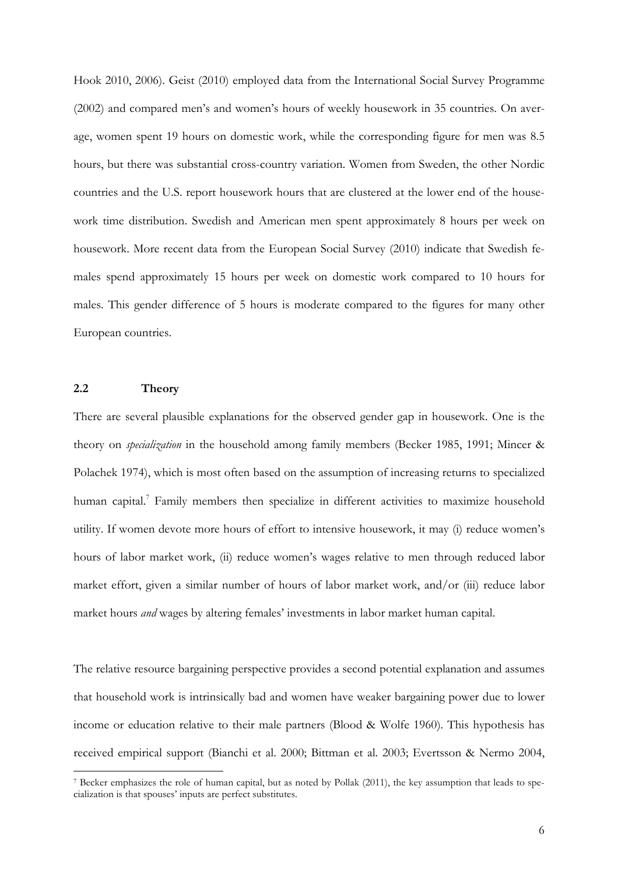Hook 2010, 2006). Geist (2010) employed data from the International Social Survey Programme (2002) and compared men's and women's hours of weekly housework in 35 countries. On average, women spent 19 hours on domestic work, while the corresponding figure for men was 8.5 hours, but there was substantial cross-country variation. Women from Sweden, the other Nordic countries and the U.S. report housework hours that are clustered at the lower end of the housework time distribution. Swedish and American men spent approximately 8 hours per week on housework. More recent data from the European Social Survey (2010) indicate that Swedish females spend approximately 15 hours per week on domestic work compared to 10 hours for males. This gender difference of 5 hours is moderate compared to the figures for many other European countries.

#### **2.2 Theory**

 $\overline{a}$ 

There are several plausible explanations for the observed gender gap in housework. One is the theory on *specialization* in the household among family members (Becker 1985, 1991; Mincer & Polachek 1974), which is most often based on the assumption of increasing returns to specialized human capital.<sup>7</sup> Family members then specialize in different activities to maximize household utility. If women devote more hours of effort to intensive housework, it may (i) reduce women's hours of labor market work, (ii) reduce women's wages relative to men through reduced labor market effort, given a similar number of hours of labor market work, and/or (iii) reduce labor market hours *and* wages by altering females' investments in labor market human capital.

The relative resource bargaining perspective provides a second potential explanation and assumes that household work is intrinsically bad and women have weaker bargaining power due to lower income or education relative to their male partners (Blood & Wolfe 1960). This hypothesis has received empirical support (Bianchi et al. 2000; Bittman et al. 2003; Evertsson & Nermo 2004,

<sup>7</sup> Becker emphasizes the role of human capital, but as noted by Pollak (2011), the key assumption that leads to specialization is that spouses' inputs are perfect substitutes.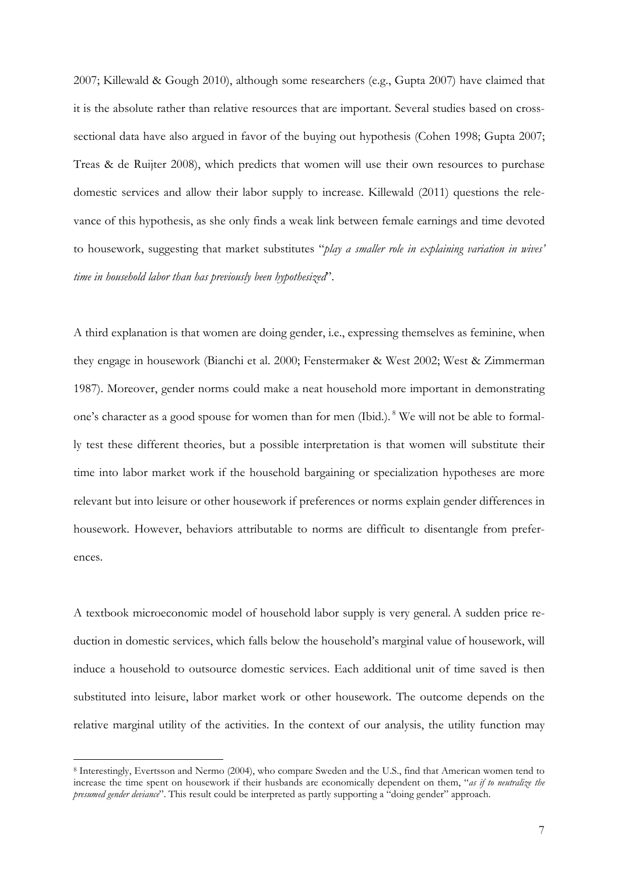2007; Killewald & Gough 2010), although some researchers (e.g., Gupta 2007) have claimed that it is the absolute rather than relative resources that are important. Several studies based on crosssectional data have also argued in favor of the buying out hypothesis (Cohen 1998; Gupta 2007; Treas & de Ruijter 2008), which predicts that women will use their own resources to purchase domestic services and allow their labor supply to increase. Killewald (2011) questions the relevance of this hypothesis, as she only finds a weak link between female earnings and time devoted to housework, suggesting that market substitutes "*play a smaller role in explaining variation in wives' time in household labor than has previously been hypothesized*".

A third explanation is that women are doing gender, i.e., expressing themselves as feminine, when they engage in housework (Bianchi et al. 2000; Fenstermaker & West 2002; West & Zimmerman 1987). Moreover, gender norms could make a neat household more important in demonstrating one's character as a good spouse for women than for men (Ibid.).<sup>8</sup> We will not be able to formally test these different theories, but a possible interpretation is that women will substitute their time into labor market work if the household bargaining or specialization hypotheses are more relevant but into leisure or other housework if preferences or norms explain gender differences in housework. However, behaviors attributable to norms are difficult to disentangle from preferences.

A textbook microeconomic model of household labor supply is very general. A sudden price reduction in domestic services, which falls below the household's marginal value of housework, will induce a household to outsource domestic services. Each additional unit of time saved is then substituted into leisure, labor market work or other housework. The outcome depends on the relative marginal utility of the activities. In the context of our analysis, the utility function may

<sup>8</sup> Interestingly, Evertsson and Nermo (2004), who compare Sweden and the U.S., find that American women tend to increase the time spent on housework if their husbands are economically dependent on them, "*as if to neutralize the presumed gender deviance*". This result could be interpreted as partly supporting a "doing gender" approach.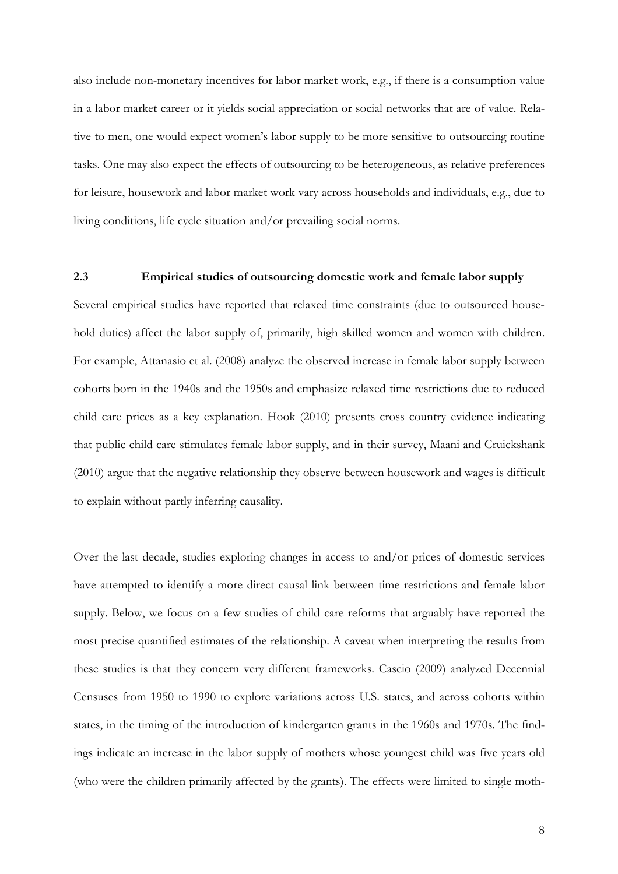also include non-monetary incentives for labor market work, e.g., if there is a consumption value in a labor market career or it yields social appreciation or social networks that are of value. Relative to men, one would expect women's labor supply to be more sensitive to outsourcing routine tasks. One may also expect the effects of outsourcing to be heterogeneous, as relative preferences for leisure, housework and labor market work vary across households and individuals, e.g., due to living conditions, life cycle situation and/or prevailing social norms.

#### **2.3 Empirical studies of outsourcing domestic work and female labor supply**

Several empirical studies have reported that relaxed time constraints (due to outsourced household duties) affect the labor supply of, primarily, high skilled women and women with children. For example, Attanasio et al. (2008) analyze the observed increase in female labor supply between cohorts born in the 1940s and the 1950s and emphasize relaxed time restrictions due to reduced child care prices as a key explanation. Hook (2010) presents cross country evidence indicating that public child care stimulates female labor supply, and in their survey, Maani and Cruickshank (2010) argue that the negative relationship they observe between housework and wages is difficult to explain without partly inferring causality.

Over the last decade, studies exploring changes in access to and/or prices of domestic services have attempted to identify a more direct causal link between time restrictions and female labor supply. Below, we focus on a few studies of child care reforms that arguably have reported the most precise quantified estimates of the relationship. A caveat when interpreting the results from these studies is that they concern very different frameworks. Cascio (2009) analyzed Decennial Censuses from 1950 to 1990 to explore variations across U.S. states, and across cohorts within states, in the timing of the introduction of kindergarten grants in the 1960s and 1970s. The findings indicate an increase in the labor supply of mothers whose youngest child was five years old (who were the children primarily affected by the grants). The effects were limited to single moth-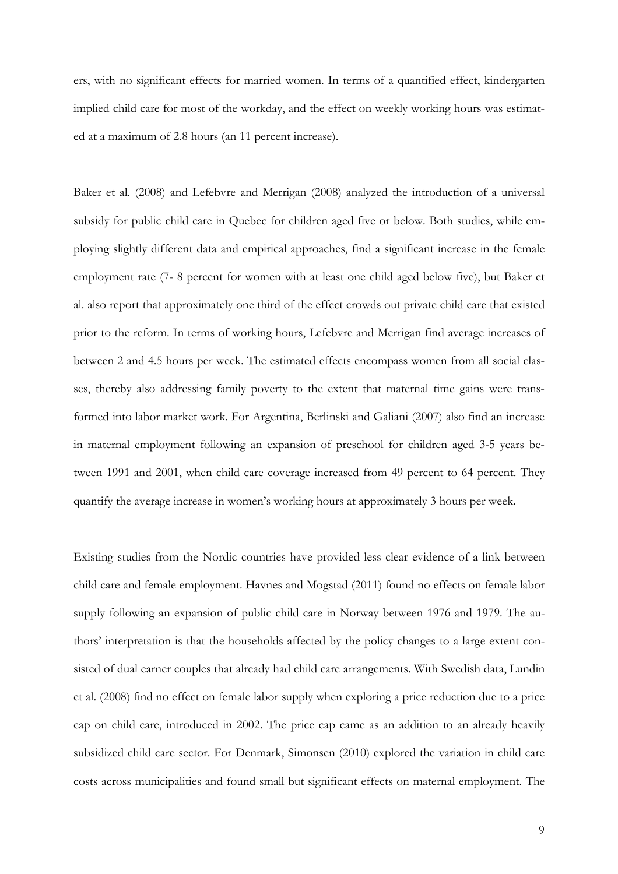ers, with no significant effects for married women. In terms of a quantified effect, kindergarten implied child care for most of the workday, and the effect on weekly working hours was estimated at a maximum of 2.8 hours (an 11 percent increase).

Baker et al. (2008) and Lefebvre and Merrigan (2008) analyzed the introduction of a universal subsidy for public child care in Quebec for children aged five or below. Both studies, while employing slightly different data and empirical approaches, find a significant increase in the female employment rate (7- 8 percent for women with at least one child aged below five), but Baker et al. also report that approximately one third of the effect crowds out private child care that existed prior to the reform. In terms of working hours, Lefebvre and Merrigan find average increases of between 2 and 4.5 hours per week. The estimated effects encompass women from all social classes, thereby also addressing family poverty to the extent that maternal time gains were transformed into labor market work. For Argentina, Berlinski and Galiani (2007) also find an increase in maternal employment following an expansion of preschool for children aged 3-5 years between 1991 and 2001, when child care coverage increased from 49 percent to 64 percent. They quantify the average increase in women's working hours at approximately 3 hours per week.

Existing studies from the Nordic countries have provided less clear evidence of a link between child care and female employment. Havnes and Mogstad (2011) found no effects on female labor supply following an expansion of public child care in Norway between 1976 and 1979. The authors' interpretation is that the households affected by the policy changes to a large extent consisted of dual earner couples that already had child care arrangements. With Swedish data, Lundin et al. (2008) find no effect on female labor supply when exploring a price reduction due to a price cap on child care, introduced in 2002. The price cap came as an addition to an already heavily subsidized child care sector. For Denmark, Simonsen (2010) explored the variation in child care costs across municipalities and found small but significant effects on maternal employment. The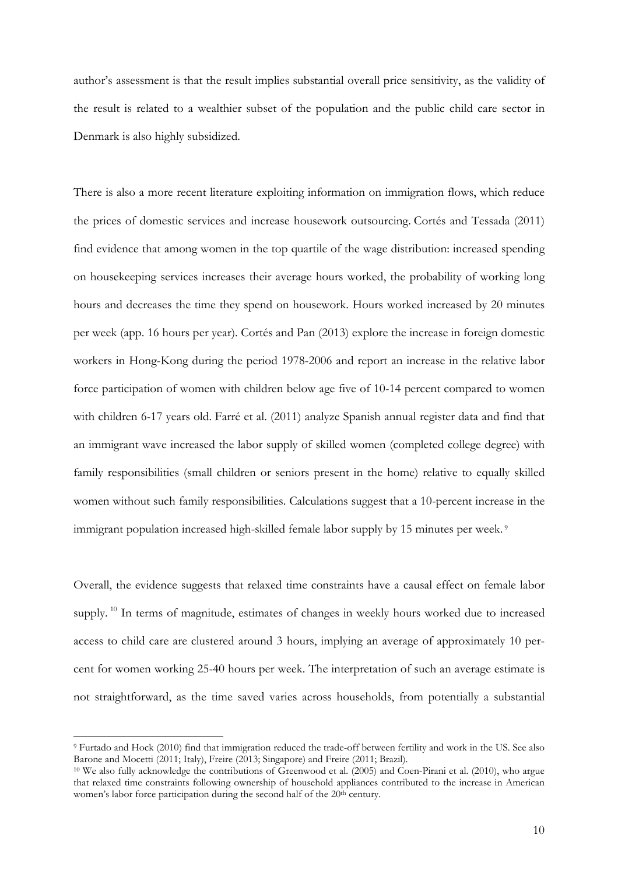author's assessment is that the result implies substantial overall price sensitivity, as the validity of the result is related to a wealthier subset of the population and the public child care sector in Denmark is also highly subsidized.

There is also a more recent literature exploiting information on immigration flows, which reduce the prices of domestic services and increase housework outsourcing. Cortés and Tessada (2011) find evidence that among women in the top quartile of the wage distribution: increased spending on housekeeping services increases their average hours worked, the probability of working long hours and decreases the time they spend on housework. Hours worked increased by 20 minutes per week (app. 16 hours per year). Cortés and Pan (2013) explore the increase in foreign domestic workers in Hong-Kong during the period 1978-2006 and report an increase in the relative labor force participation of women with children below age five of 10-14 percent compared to women with children 6-17 years old. Farré et al. (2011) analyze Spanish annual register data and find that an immigrant wave increased the labor supply of skilled women (completed college degree) with family responsibilities (small children or seniors present in the home) relative to equally skilled women without such family responsibilities. Calculations suggest that a 10-percent increase in the immigrant population increased high-skilled female labor supply by 15 minutes per week.<sup>9</sup>

Overall, the evidence suggests that relaxed time constraints have a causal effect on female labor supply.<sup>10</sup> In terms of magnitude, estimates of changes in weekly hours worked due to increased access to child care are clustered around 3 hours, implying an average of approximately 10 percent for women working 25-40 hours per week. The interpretation of such an average estimate is not straightforward, as the time saved varies across households, from potentially a substantial

<sup>9</sup> Furtado and Hock (2010) find that immigration reduced the trade-off between fertility and work in the US. See also Barone and Mocetti (2011; Italy), Freire (2013; Singapore) and Freire (2011; Brazil).

<sup>10</sup> We also fully acknowledge the contributions of Greenwood et al. (2005) and Coen-Pirani et al. (2010), who argue that relaxed time constraints following ownership of household appliances contributed to the increase in American women's labor force participation during the second half of the 20<sup>th</sup> century.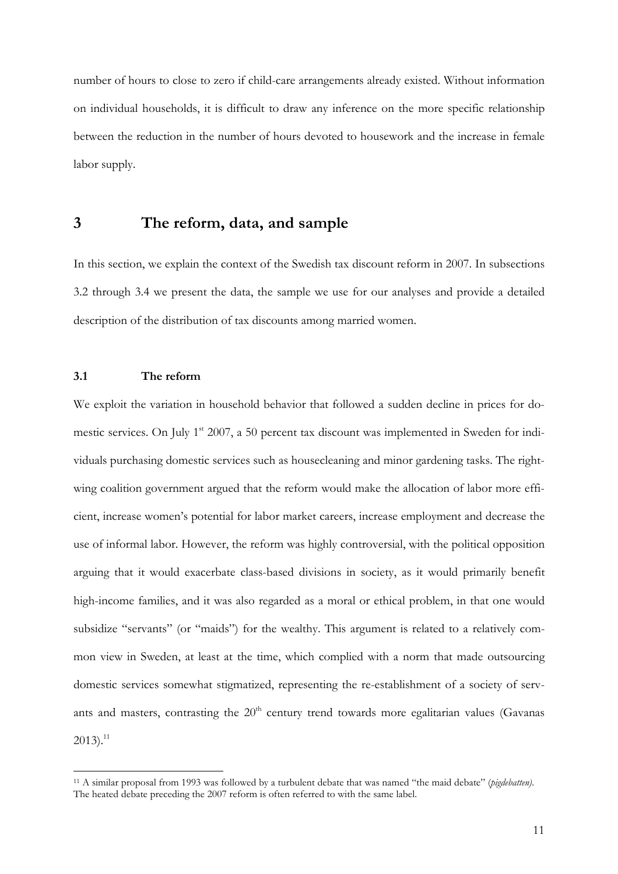number of hours to close to zero if child-care arrangements already existed. Without information on individual households, it is difficult to draw any inference on the more specific relationship between the reduction in the number of hours devoted to housework and the increase in female labor supply.

### **3 The reform, data, and sample**

In this section, we explain the context of the Swedish tax discount reform in 2007. In subsections 3.2 through 3.4 we present the data, the sample we use for our analyses and provide a detailed description of the distribution of tax discounts among married women.

#### **3.1 The reform**

 $\overline{a}$ 

We exploit the variation in household behavior that followed a sudden decline in prices for domestic services. On July 1<sup>st</sup> 2007, a 50 percent tax discount was implemented in Sweden for individuals purchasing domestic services such as housecleaning and minor gardening tasks. The rightwing coalition government argued that the reform would make the allocation of labor more efficient, increase women's potential for labor market careers, increase employment and decrease the use of informal labor. However, the reform was highly controversial, with the political opposition arguing that it would exacerbate class-based divisions in society, as it would primarily benefit high-income families, and it was also regarded as a moral or ethical problem, in that one would subsidize "servants" (or "maids") for the wealthy. This argument is related to a relatively common view in Sweden, at least at the time, which complied with a norm that made outsourcing domestic services somewhat stigmatized, representing the re-establishment of a society of servants and masters, contrasting the  $20<sup>th</sup>$  century trend towards more egalitarian values (Gavanas  $2013).$ <sup>11</sup>

<sup>11</sup> A similar proposal from 1993 was followed by a turbulent debate that was named "the maid debate" (*pigdebatten)*. The heated debate preceding the 2007 reform is often referred to with the same label.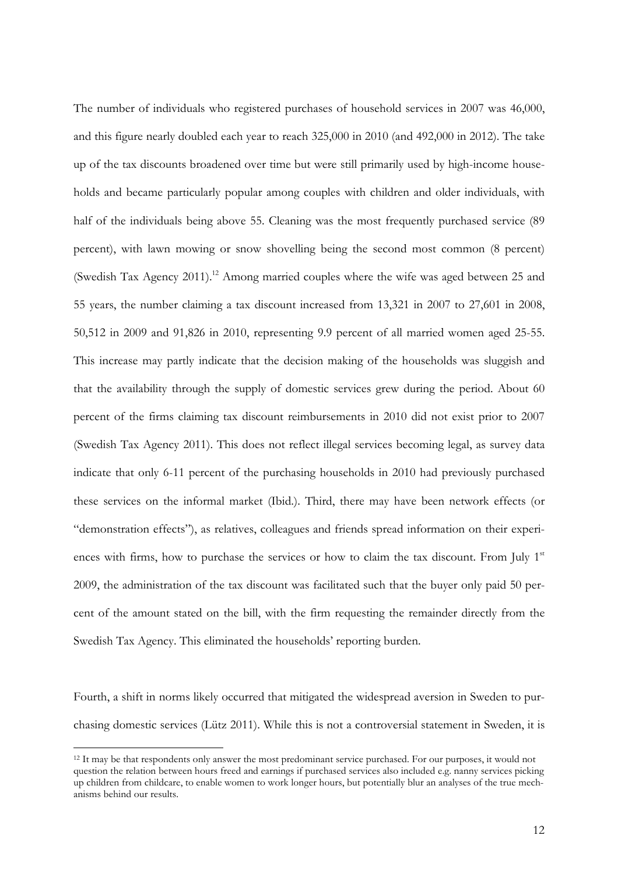The number of individuals who registered purchases of household services in 2007 was 46,000, and this figure nearly doubled each year to reach 325,000 in 2010 (and 492,000 in 2012). The take up of the tax discounts broadened over time but were still primarily used by high-income households and became particularly popular among couples with children and older individuals, with half of the individuals being above 55. Cleaning was the most frequently purchased service (89 percent), with lawn mowing or snow shovelling being the second most common (8 percent) (Swedish Tax Agency 2011).<sup>12</sup> Among married couples where the wife was aged between 25 and 55 years, the number claiming a tax discount increased from 13,321 in 2007 to 27,601 in 2008, 50,512 in 2009 and 91,826 in 2010, representing 9.9 percent of all married women aged 25-55. This increase may partly indicate that the decision making of the households was sluggish and that the availability through the supply of domestic services grew during the period. About 60 percent of the firms claiming tax discount reimbursements in 2010 did not exist prior to 2007 (Swedish Tax Agency 2011). This does not reflect illegal services becoming legal, as survey data indicate that only 6-11 percent of the purchasing households in 2010 had previously purchased these services on the informal market (Ibid.). Third, there may have been network effects (or "demonstration effects"), as relatives, colleagues and friends spread information on their experiences with firms, how to purchase the services or how to claim the tax discount. From July  $1<sup>st</sup>$ 2009, the administration of the tax discount was facilitated such that the buyer only paid 50 percent of the amount stated on the bill, with the firm requesting the remainder directly from the Swedish Tax Agency. This eliminated the households' reporting burden.

Fourth, a shift in norms likely occurred that mitigated the widespread aversion in Sweden to purchasing domestic services (Lütz 2011). While this is not a controversial statement in Sweden, it is

<sup>&</sup>lt;sup>12</sup> It may be that respondents only answer the most predominant service purchased. For our purposes, it would not question the relation between hours freed and earnings if purchased services also included e.g. nanny services picking up children from childcare, to enable women to work longer hours, but potentially blur an analyses of the true mechanisms behind our results.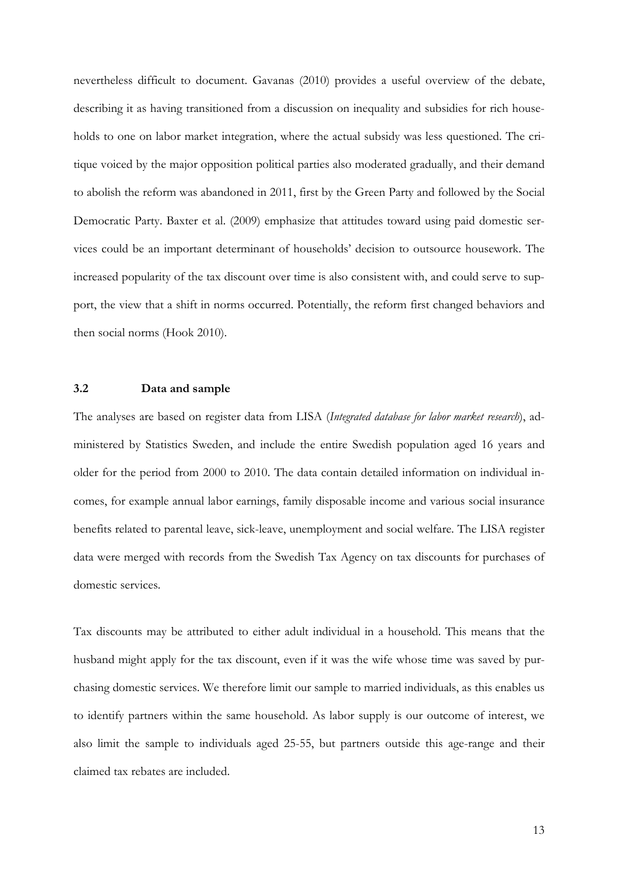nevertheless difficult to document. Gavanas (2010) provides a useful overview of the debate, describing it as having transitioned from a discussion on inequality and subsidies for rich households to one on labor market integration, where the actual subsidy was less questioned. The critique voiced by the major opposition political parties also moderated gradually, and their demand to abolish the reform was abandoned in 2011, first by the Green Party and followed by the Social Democratic Party. Baxter et al. (2009) emphasize that attitudes toward using paid domestic services could be an important determinant of households' decision to outsource housework. The increased popularity of the tax discount over time is also consistent with, and could serve to support, the view that a shift in norms occurred. Potentially, the reform first changed behaviors and then social norms (Hook 2010).

#### **3.2 Data and sample**

The analyses are based on register data from LISA (*Integrated database for labor market research*), administered by Statistics Sweden, and include the entire Swedish population aged 16 years and older for the period from 2000 to 2010. The data contain detailed information on individual incomes, for example annual labor earnings, family disposable income and various social insurance benefits related to parental leave, sick-leave, unemployment and social welfare. The LISA register data were merged with records from the Swedish Tax Agency on tax discounts for purchases of domestic services.

Tax discounts may be attributed to either adult individual in a household. This means that the husband might apply for the tax discount, even if it was the wife whose time was saved by purchasing domestic services. We therefore limit our sample to married individuals, as this enables us to identify partners within the same household. As labor supply is our outcome of interest, we also limit the sample to individuals aged 25-55, but partners outside this age-range and their claimed tax rebates are included.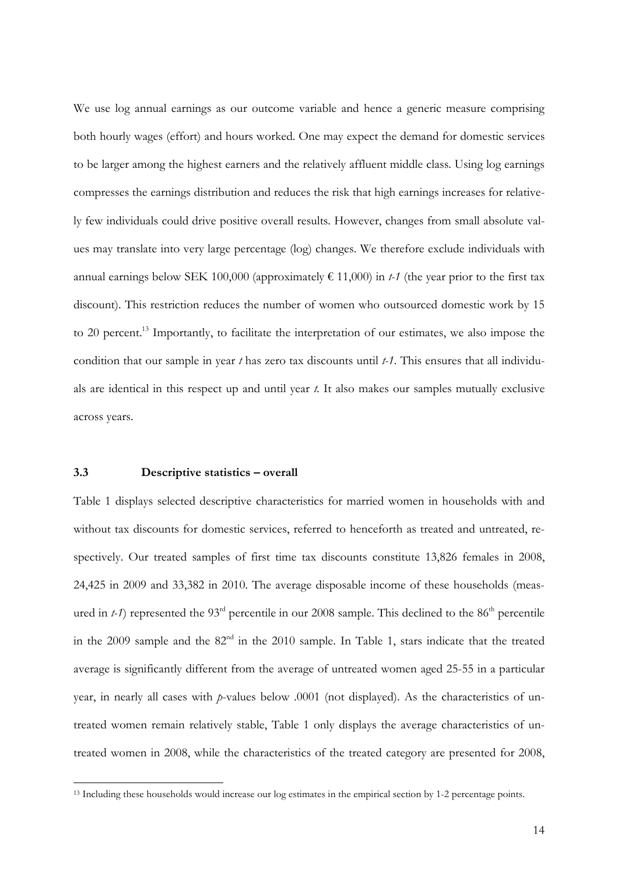We use log annual earnings as our outcome variable and hence a generic measure comprising both hourly wages (effort) and hours worked. One may expect the demand for domestic services to be larger among the highest earners and the relatively affluent middle class. Using log earnings compresses the earnings distribution and reduces the risk that high earnings increases for relatively few individuals could drive positive overall results. However, changes from small absolute values may translate into very large percentage (log) changes. We therefore exclude individuals with annual earnings below SEK 100,000 (approximately  $\epsilon$  11,000) in *t-1* (the year prior to the first tax discount). This restriction reduces the number of women who outsourced domestic work by 15 to 20 percent.<sup>13</sup> Importantly, to facilitate the interpretation of our estimates, we also impose the condition that our sample in year *t* has zero tax discounts until *t-1*. This ensures that all individuals are identical in this respect up and until year *t.* It also makes our samples mutually exclusive across years.

#### **3.3 Descriptive statistics – overall**

 $\overline{a}$ 

Table 1 displays selected descriptive characteristics for married women in households with and without tax discounts for domestic services, referred to henceforth as treated and untreated, respectively. Our treated samples of first time tax discounts constitute 13,826 females in 2008, 24,425 in 2009 and 33,382 in 2010. The average disposable income of these households (measured in  $t-1$ ) represented the 93<sup>rd</sup> percentile in our 2008 sample. This declined to the 86<sup>th</sup> percentile in the 2009 sample and the  $82<sup>nd</sup>$  in the 2010 sample. In Table 1, stars indicate that the treated average is significantly different from the average of untreated women aged 25-55 in a particular year, in nearly all cases with *p*-values below .0001 (not displayed). As the characteristics of untreated women remain relatively stable, Table 1 only displays the average characteristics of untreated women in 2008, while the characteristics of the treated category are presented for 2008,

<sup>&</sup>lt;sup>13</sup> Including these households would increase our log estimates in the empirical section by 1-2 percentage points.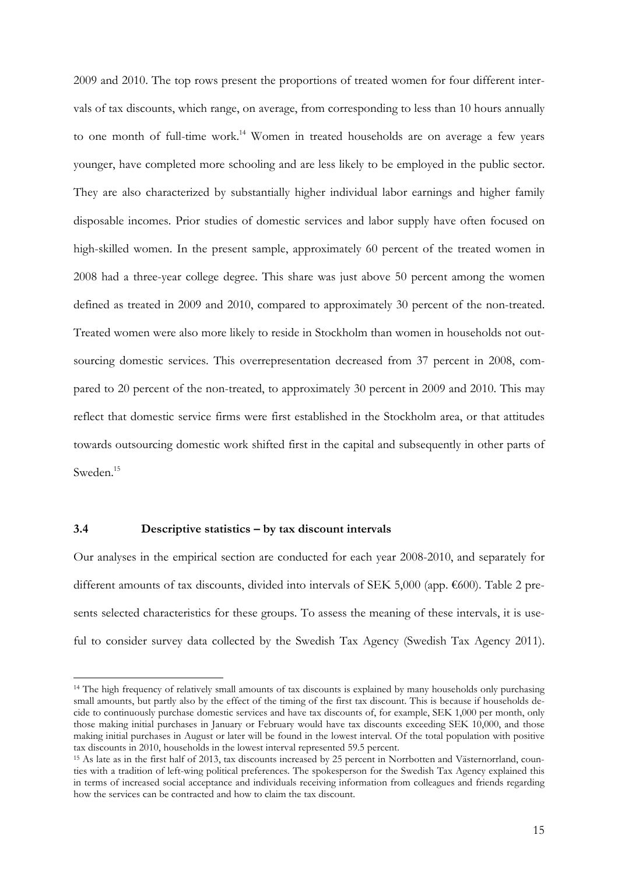2009 and 2010. The top rows present the proportions of treated women for four different intervals of tax discounts, which range, on average, from corresponding to less than 10 hours annually to one month of full-time work.<sup>14</sup> Women in treated households are on average a few years younger, have completed more schooling and are less likely to be employed in the public sector. They are also characterized by substantially higher individual labor earnings and higher family disposable incomes. Prior studies of domestic services and labor supply have often focused on high-skilled women. In the present sample, approximately 60 percent of the treated women in 2008 had a three-year college degree. This share was just above 50 percent among the women defined as treated in 2009 and 2010, compared to approximately 30 percent of the non-treated. Treated women were also more likely to reside in Stockholm than women in households not outsourcing domestic services. This overrepresentation decreased from 37 percent in 2008, compared to 20 percent of the non-treated, to approximately 30 percent in 2009 and 2010. This may reflect that domestic service firms were first established in the Stockholm area, or that attitudes towards outsourcing domestic work shifted first in the capital and subsequently in other parts of Sweden.<sup>15</sup>

#### **3.4 Descriptive statistics – by tax discount intervals**

 $\overline{a}$ 

Our analyses in the empirical section are conducted for each year 2008-2010, and separately for different amounts of tax discounts, divided into intervals of SEK 5,000 (app. €600). Table 2 presents selected characteristics for these groups. To assess the meaning of these intervals, it is useful to consider survey data collected by the Swedish Tax Agency (Swedish Tax Agency 2011).

<sup>&</sup>lt;sup>14</sup> The high frequency of relatively small amounts of tax discounts is explained by many households only purchasing small amounts, but partly also by the effect of the timing of the first tax discount. This is because if households decide to continuously purchase domestic services and have tax discounts of, for example, SEK 1,000 per month, only those making initial purchases in January or February would have tax discounts exceeding SEK 10,000, and those making initial purchases in August or later will be found in the lowest interval. Of the total population with positive tax discounts in 2010, households in the lowest interval represented 59.5 percent.

<sup>15</sup> As late as in the first half of 2013, tax discounts increased by 25 percent in Norrbotten and Västernorrland, counties with a tradition of left-wing political preferences. The spokesperson for the Swedish Tax Agency explained this in terms of increased social acceptance and individuals receiving information from colleagues and friends regarding how the services can be contracted and how to claim the tax discount.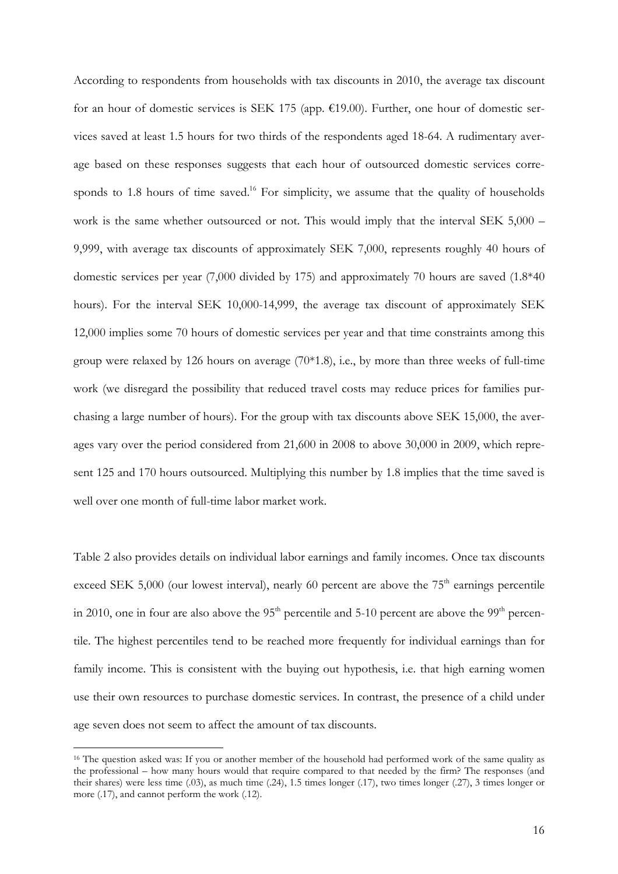According to respondents from households with tax discounts in 2010, the average tax discount for an hour of domestic services is SEK 175 (app. €19.00). Further, one hour of domestic services saved at least 1.5 hours for two thirds of the respondents aged 18-64. A rudimentary average based on these responses suggests that each hour of outsourced domestic services corresponds to 1.8 hours of time saved.<sup>16</sup> For simplicity, we assume that the quality of households work is the same whether outsourced or not. This would imply that the interval SEK 5,000 – 9,999, with average tax discounts of approximately SEK 7,000, represents roughly 40 hours of domestic services per year (7,000 divided by 175) and approximately 70 hours are saved (1.8\*40 hours). For the interval SEK 10,000-14,999, the average tax discount of approximately SEK 12,000 implies some 70 hours of domestic services per year and that time constraints among this group were relaxed by 126 hours on average (70\*1.8), i.e., by more than three weeks of full-time work (we disregard the possibility that reduced travel costs may reduce prices for families purchasing a large number of hours). For the group with tax discounts above SEK 15,000, the averages vary over the period considered from 21,600 in 2008 to above 30,000 in 2009, which represent 125 and 170 hours outsourced. Multiplying this number by 1.8 implies that the time saved is well over one month of full-time labor market work.

Table 2 also provides details on individual labor earnings and family incomes. Once tax discounts exceed SEK 5,000 (our lowest interval), nearly 60 percent are above the  $75<sup>th</sup>$  earnings percentile in 2010, one in four are also above the  $95<sup>th</sup>$  percentile and 5-10 percent are above the  $99<sup>th</sup>$  percentile. The highest percentiles tend to be reached more frequently for individual earnings than for family income. This is consistent with the buying out hypothesis, i.e. that high earning women use their own resources to purchase domestic services. In contrast, the presence of a child under age seven does not seem to affect the amount of tax discounts.

<sup>&</sup>lt;sup>16</sup> The question asked was: If you or another member of the household had performed work of the same quality as the professional – how many hours would that require compared to that needed by the firm? The responses (and their shares) were less time (.03), as much time (.24), 1.5 times longer (.17), two times longer (.27), 3 times longer or more (.17), and cannot perform the work (.12).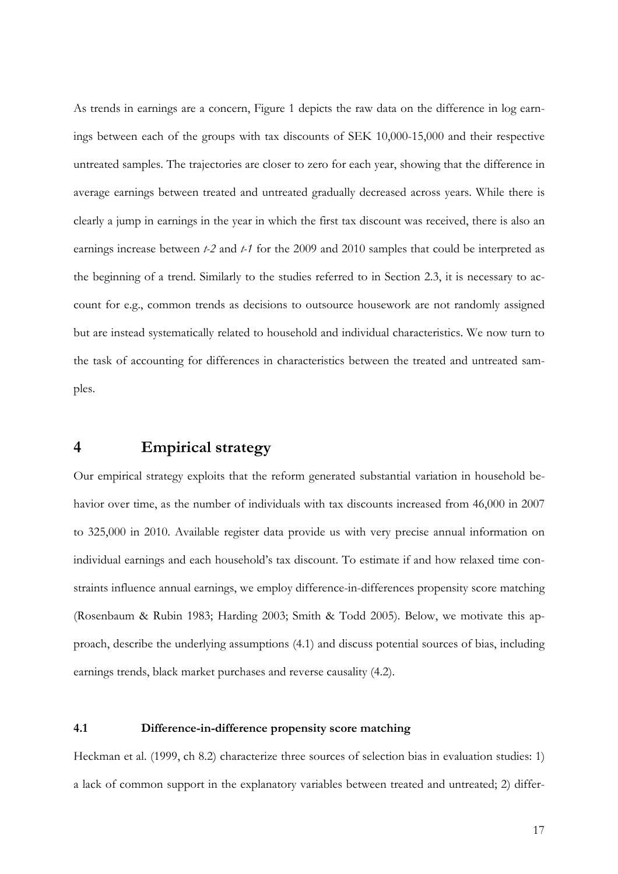As trends in earnings are a concern, Figure 1 depicts the raw data on the difference in log earnings between each of the groups with tax discounts of SEK 10,000-15,000 and their respective untreated samples. The trajectories are closer to zero for each year, showing that the difference in average earnings between treated and untreated gradually decreased across years. While there is clearly a jump in earnings in the year in which the first tax discount was received, there is also an earnings increase between *t-2* and *t-1* for the 2009 and 2010 samples that could be interpreted as the beginning of a trend. Similarly to the studies referred to in Section 2.3, it is necessary to account for e.g., common trends as decisions to outsource housework are not randomly assigned but are instead systematically related to household and individual characteristics. We now turn to the task of accounting for differences in characteristics between the treated and untreated samples.

### **4 Empirical strategy**

Our empirical strategy exploits that the reform generated substantial variation in household behavior over time, as the number of individuals with tax discounts increased from 46,000 in 2007 to 325,000 in 2010. Available register data provide us with very precise annual information on individual earnings and each household's tax discount. To estimate if and how relaxed time constraints influence annual earnings, we employ difference-in-differences propensity score matching (Rosenbaum & Rubin 1983; Harding 2003; Smith & Todd 2005). Below, we motivate this approach, describe the underlying assumptions (4.1) and discuss potential sources of bias, including earnings trends, black market purchases and reverse causality (4.2).

#### **4.1 Difference-in-difference propensity score matching**

Heckman et al. (1999, ch 8.2) characterize three sources of selection bias in evaluation studies: 1) a lack of common support in the explanatory variables between treated and untreated; 2) differ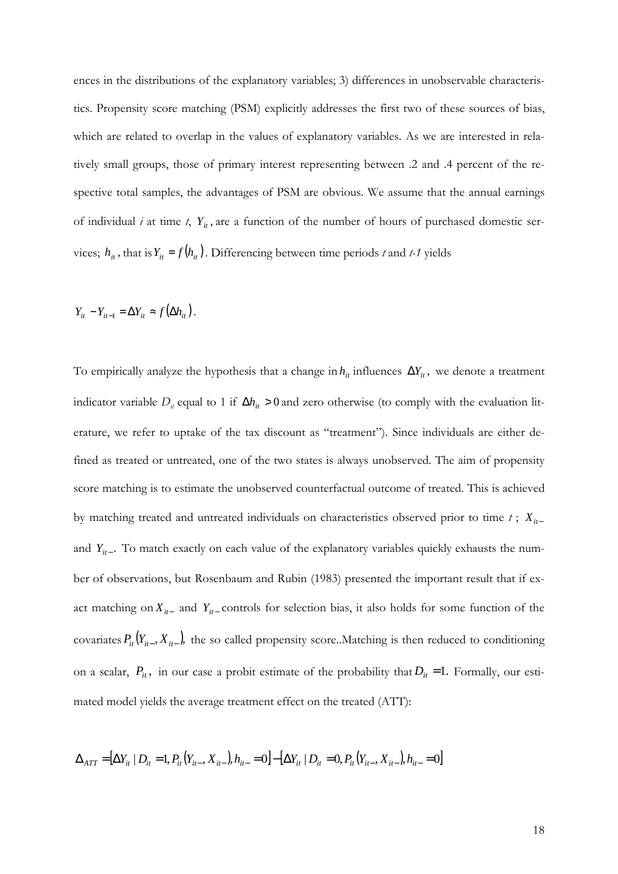ences in the distributions of the explanatory variables; 3) differences in unobservable characteristics. Propensity score matching (PSM) explicitly addresses the first two of these sources of bias, which are related to overlap in the values of explanatory variables. As we are interested in relatively small groups, those of primary interest representing between .2 and .4 percent of the respective total samples, the advantages of PSM are obvious. We assume that the annual earnings of individual *i* at time *t*,  $Y_i$ , are a function of the number of hours of purchased domestic services;  $h_{it}$ , that is  $Y_{it} = f(h_{it})$ . Differencing between time periods *t* and *t*-1 yields

$$
Y_{it} - Y_{it-1} = \Delta Y_{it} \approx f(\Delta h_{it}).
$$

To empirically analyze the hypothesis that a change in  $h_i$  influences  $\Delta Y_i$ , we denote a treatment indicator variable  $D_i$  equal to 1 if  $\Delta h_i > 0$  and zero otherwise (to comply with the evaluation literature, we refer to uptake of the tax discount as "treatment"). Since individuals are either defined as treated or untreated, one of the two states is always unobserved. The aim of propensity score matching is to estimate the unobserved counterfactual outcome of treated. This is achieved by matching treated and untreated individuals on characteristics observed prior to time *t* ; *Xit*<sup>−</sup> and  $Y_{it-}$ . To match exactly on each value of the explanatory variables quickly exhausts the number of observations, but Rosenbaum and Rubin (1983) presented the important result that if exact matching on  $X_{it-}$  and  $Y_{it-}$  controls for selection bias, it also holds for some function of the covariates  $P_i(Y_{it-}, X_{it-})$ , the so called propensity score..Matching is then reduced to conditioning on a scalar,  $P_i$ , in our case a probit estimate of the probability that  $D_i$  = 1. Formally, our estimated model yields the average treatment effect on the treated (ATT):

$$
\Delta_{ATT} = [\Delta Y_{it} | D_{it} = 1, P_{it}(Y_{it-}, X_{it-}), h_{it-} = 0] - [\Delta Y_{it} | D_{it} = 0, P_{it}(Y_{it-}, X_{it-}), h_{it-} = 0]
$$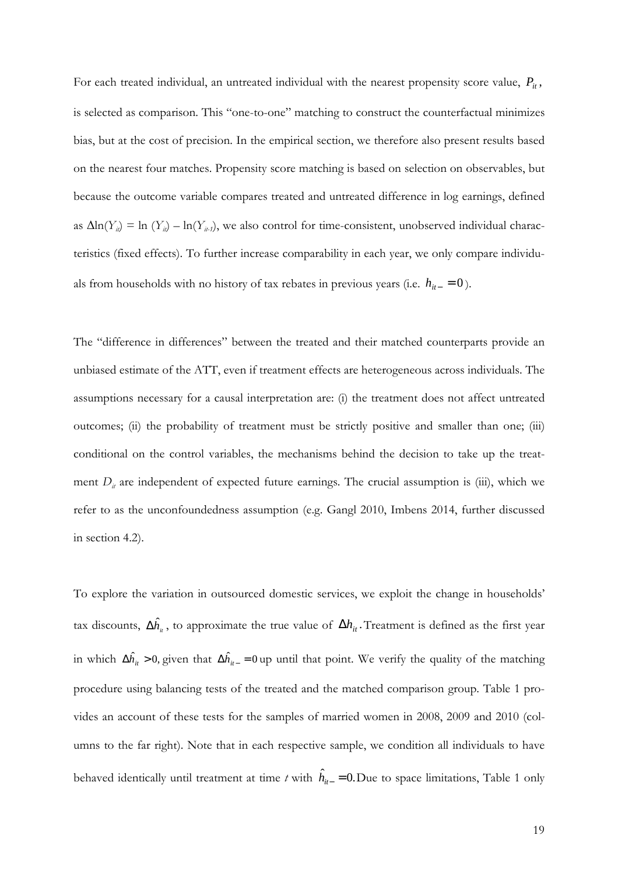For each treated individual, an untreated individual with the nearest propensity score value,  $P_i$ , is selected as comparison. This "one-to-one" matching to construct the counterfactual minimizes bias, but at the cost of precision. In the empirical section, we therefore also present results based on the nearest four matches. Propensity score matching is based on selection on observables, but because the outcome variable compares treated and untreated difference in log earnings, defined as  $\Delta \ln(Y_i) = \ln(Y_i) - \ln(Y_{i\text{-}i})$ , we also control for time-consistent, unobserved individual characteristics (fixed effects). To further increase comparability in each year, we only compare individuals from households with no history of tax rebates in previous years (i.e.  $h_{it-} = 0$ ).

The "difference in differences" between the treated and their matched counterparts provide an unbiased estimate of the ATT, even if treatment effects are heterogeneous across individuals. The assumptions necessary for a causal interpretation are: (i) the treatment does not affect untreated outcomes; (ii) the probability of treatment must be strictly positive and smaller than one; (iii) conditional on the control variables, the mechanisms behind the decision to take up the treatment  $D_i$  are independent of expected future earnings. The crucial assumption is (iii), which we refer to as the unconfoundedness assumption (e.g. Gangl 2010, Imbens 2014, further discussed in section 4.2).

To explore the variation in outsourced domestic services, we exploit the change in households' tax discounts,  $\Delta \hat{h}_u$ , to approximate the true value of  $\Delta h_u$ . Treatment is defined as the first year in which  $\Delta \hat{h}_i > 0$ , given that  $\Delta \hat{h}_{i-} = 0$  up until that point. We verify the quality of the matching procedure using balancing tests of the treated and the matched comparison group. Table 1 provides an account of these tests for the samples of married women in 2008, 2009 and 2010 (columns to the far right). Note that in each respective sample, we condition all individuals to have behaved identically until treatment at time *t* with  $\hat{h}_{it-} = 0$ . Due to space limitations, Table 1 only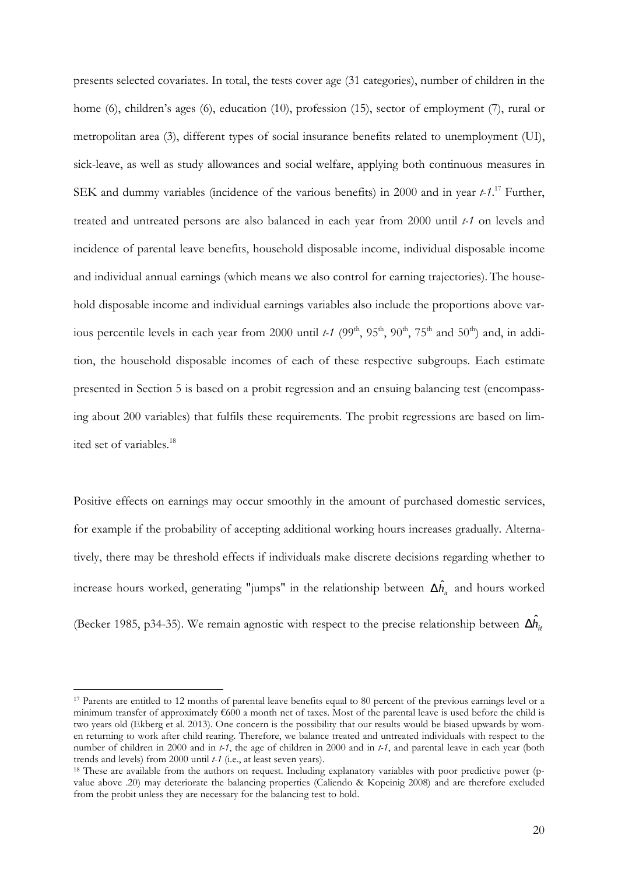presents selected covariates. In total, the tests cover age (31 categories), number of children in the home (6), children's ages (6), education (10), profession (15), sector of employment (7), rural or metropolitan area (3), different types of social insurance benefits related to unemployment (UI), sick-leave, as well as study allowances and social welfare, applying both continuous measures in SEK and dummy variables (incidence of the various benefits) in 2000 and in year *t-1*. <sup>17</sup> Further, treated and untreated persons are also balanced in each year from 2000 until *t-1* on levels and incidence of parental leave benefits, household disposable income, individual disposable income and individual annual earnings (which means we also control for earning trajectories). The household disposable income and individual earnings variables also include the proportions above various percentile levels in each year from 2000 until *t-1* (99<sup>th</sup>, 95<sup>th</sup>, 90<sup>th</sup>, 75<sup>th</sup> and 50<sup>th</sup>) and, in addition, the household disposable incomes of each of these respective subgroups. Each estimate presented in Section 5 is based on a probit regression and an ensuing balancing test (encompassing about 200 variables) that fulfils these requirements. The probit regressions are based on limited set of variables.<sup>18</sup>

Positive effects on earnings may occur smoothly in the amount of purchased domestic services, for example if the probability of accepting additional working hours increases gradually. Alternatively, there may be threshold effects if individuals make discrete decisions regarding whether to increase hours worked, generating "jumps" in the relationship between  $\Delta \hat{h}_{\scriptscriptstyle \mu}$  and hours worked (Becker 1985, p34-35). We remain agnostic with respect to the precise relationship between  $\Delta \hat{h}_i$ 

<sup>&</sup>lt;sup>17</sup> Parents are entitled to 12 months of parental leave benefits equal to 80 percent of the previous earnings level or a minimum transfer of approximately €600 a month net of taxes. Most of the parental leave is used before the child is two years old (Ekberg et al. 2013). One concern is the possibility that our results would be biased upwards by women returning to work after child rearing. Therefore, we balance treated and untreated individuals with respect to the number of children in 2000 and in *t-1*, the age of children in 2000 and in *t-1*, and parental leave in each year (both trends and levels) from 2000 until *t-1* (i.e., at least seven years).

<sup>&</sup>lt;sup>18</sup> These are available from the authors on request. Including explanatory variables with poor predictive power (pvalue above .20) may deteriorate the balancing properties (Caliendo & Kopeinig 2008) and are therefore excluded from the probit unless they are necessary for the balancing test to hold.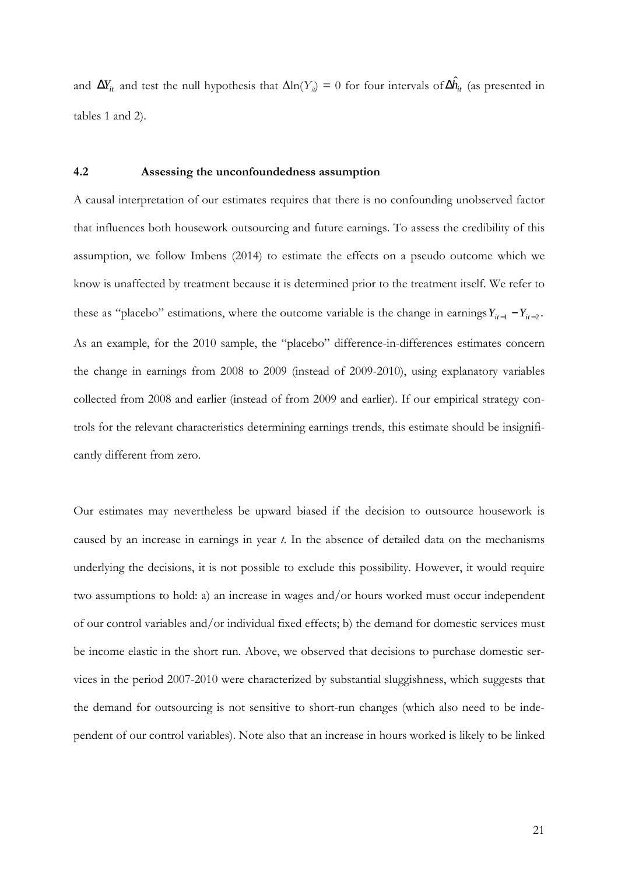and  $\Delta Y_i$  and test the null hypothesis that  $\Delta \ln(Y_i) = 0$  for four intervals of  $\Delta \hat{h}_i$  (as presented in tables 1 and 2).

#### **4.2 Assessing the unconfoundedness assumption**

A causal interpretation of our estimates requires that there is no confounding unobserved factor that influences both housework outsourcing and future earnings. To assess the credibility of this assumption, we follow Imbens (2014) to estimate the effects on a pseudo outcome which we know is unaffected by treatment because it is determined prior to the treatment itself. We refer to these as "placebo" estimations, where the outcome variable is the change in earnings  $Y_{it-1} - Y_{it-2}$ . As an example, for the 2010 sample, the "placebo" difference-in-differences estimates concern the change in earnings from 2008 to 2009 (instead of 2009-2010), using explanatory variables collected from 2008 and earlier (instead of from 2009 and earlier). If our empirical strategy controls for the relevant characteristics determining earnings trends, this estimate should be insignificantly different from zero.

Our estimates may nevertheless be upward biased if the decision to outsource housework is caused by an increase in earnings in year *t*. In the absence of detailed data on the mechanisms underlying the decisions, it is not possible to exclude this possibility. However, it would require two assumptions to hold: a) an increase in wages and/or hours worked must occur independent of our control variables and/or individual fixed effects; b) the demand for domestic services must be income elastic in the short run. Above, we observed that decisions to purchase domestic services in the period 2007-2010 were characterized by substantial sluggishness, which suggests that the demand for outsourcing is not sensitive to short-run changes (which also need to be independent of our control variables). Note also that an increase in hours worked is likely to be linked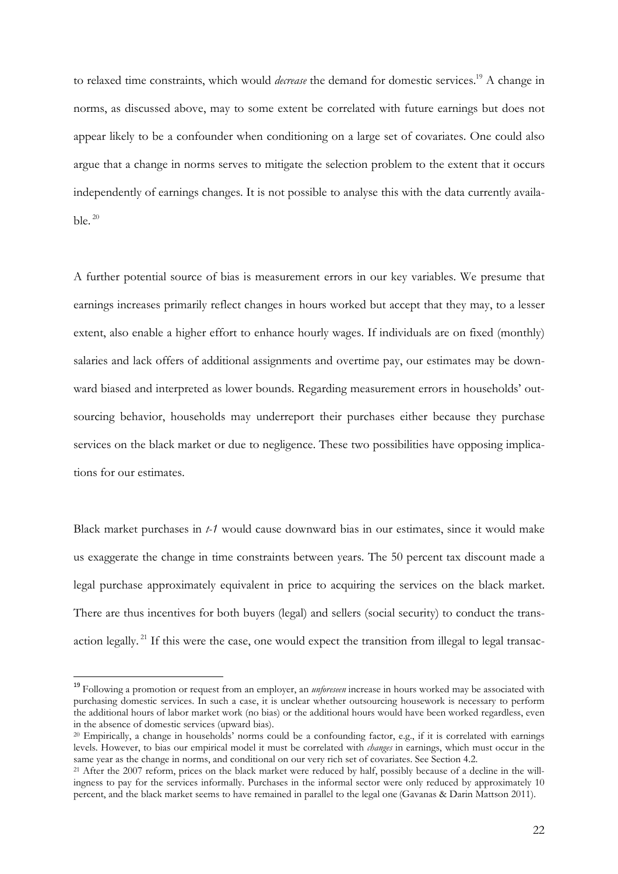to relaxed time constraints, which would *decrease* the demand for domestic services.<sup>19</sup> A change in norms, as discussed above, may to some extent be correlated with future earnings but does not appear likely to be a confounder when conditioning on a large set of covariates. One could also argue that a change in norms serves to mitigate the selection problem to the extent that it occurs independently of earnings changes. It is not possible to analyse this with the data currently available. $20$ 

A further potential source of bias is measurement errors in our key variables. We presume that earnings increases primarily reflect changes in hours worked but accept that they may, to a lesser extent, also enable a higher effort to enhance hourly wages. If individuals are on fixed (monthly) salaries and lack offers of additional assignments and overtime pay, our estimates may be downward biased and interpreted as lower bounds. Regarding measurement errors in households' outsourcing behavior, households may underreport their purchases either because they purchase services on the black market or due to negligence. These two possibilities have opposing implications for our estimates.

Black market purchases in *t-1* would cause downward bias in our estimates, since it would make us exaggerate the change in time constraints between years. The 50 percent tax discount made a legal purchase approximately equivalent in price to acquiring the services on the black market. There are thus incentives for both buyers (legal) and sellers (social security) to conduct the transaction legally.<sup>21</sup> If this were the case, one would expect the transition from illegal to legal transac-

l

<sup>19</sup> Following a promotion or request from an employer, an *unforeseen* increase in hours worked may be associated with purchasing domestic services. In such a case, it is unclear whether outsourcing housework is necessary to perform the additional hours of labor market work (no bias) or the additional hours would have been worked regardless, even in the absence of domestic services (upward bias).

<sup>20</sup> Empirically, a change in households' norms could be a confounding factor, e.g., if it is correlated with earnings levels. However, to bias our empirical model it must be correlated with *changes* in earnings, which must occur in the same year as the change in norms, and conditional on our very rich set of covariates. See Section 4.2.

<sup>&</sup>lt;sup>21</sup> After the 2007 reform, prices on the black market were reduced by half, possibly because of a decline in the willingness to pay for the services informally. Purchases in the informal sector were only reduced by approximately 10 percent, and the black market seems to have remained in parallel to the legal one (Gavanas & Darin Mattson 2011).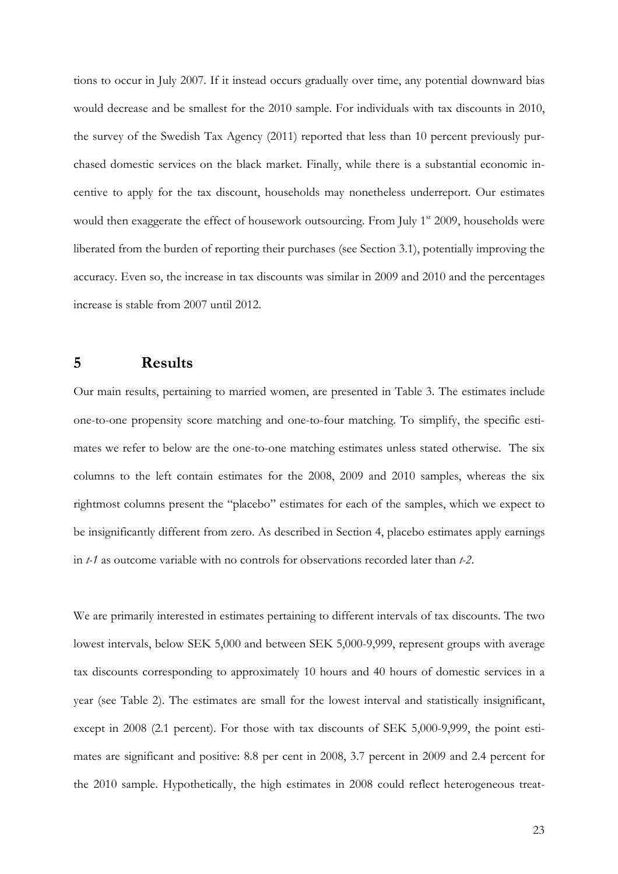tions to occur in July 2007. If it instead occurs gradually over time, any potential downward bias would decrease and be smallest for the 2010 sample. For individuals with tax discounts in 2010, the survey of the Swedish Tax Agency (2011) reported that less than 10 percent previously purchased domestic services on the black market. Finally, while there is a substantial economic incentive to apply for the tax discount, households may nonetheless underreport. Our estimates would then exaggerate the effect of housework outsourcing. From July 1<sup>st</sup> 2009, households were liberated from the burden of reporting their purchases (see Section 3.1), potentially improving the accuracy. Even so, the increase in tax discounts was similar in 2009 and 2010 and the percentages increase is stable from 2007 until 2012.

### **5 Results**

Our main results, pertaining to married women, are presented in Table 3. The estimates include one-to-one propensity score matching and one-to-four matching. To simplify, the specific estimates we refer to below are the one-to-one matching estimates unless stated otherwise. The six columns to the left contain estimates for the 2008, 2009 and 2010 samples, whereas the six rightmost columns present the "placebo" estimates for each of the samples, which we expect to be insignificantly different from zero. As described in Section 4, placebo estimates apply earnings in *t-1* as outcome variable with no controls for observations recorded later than *t-2*.

We are primarily interested in estimates pertaining to different intervals of tax discounts. The two lowest intervals, below SEK 5,000 and between SEK 5,000-9,999, represent groups with average tax discounts corresponding to approximately 10 hours and 40 hours of domestic services in a year (see Table 2). The estimates are small for the lowest interval and statistically insignificant, except in 2008 (2.1 percent). For those with tax discounts of SEK 5,000-9,999, the point estimates are significant and positive: 8.8 per cent in 2008, 3.7 percent in 2009 and 2.4 percent for the 2010 sample. Hypothetically, the high estimates in 2008 could reflect heterogeneous treat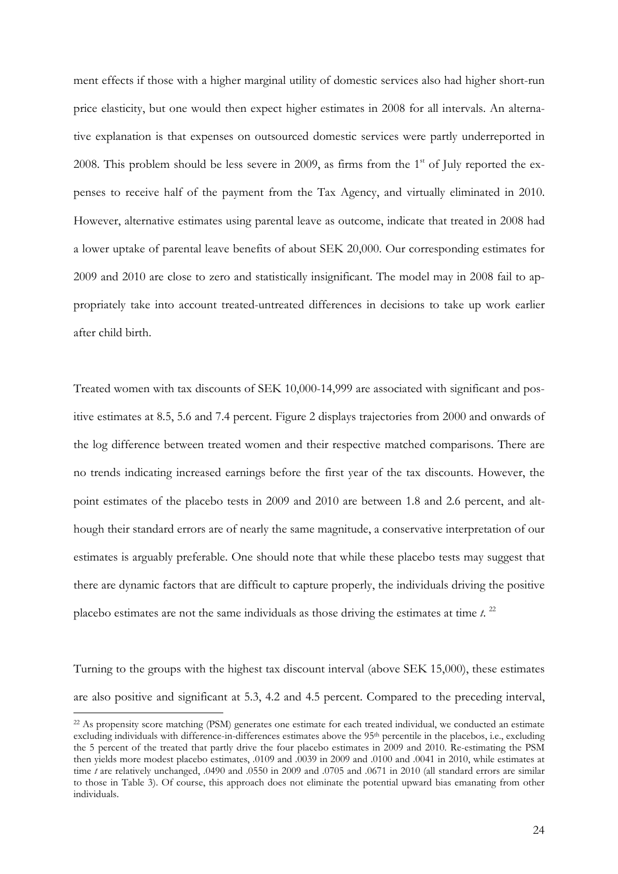ment effects if those with a higher marginal utility of domestic services also had higher short-run price elasticity, but one would then expect higher estimates in 2008 for all intervals. An alternative explanation is that expenses on outsourced domestic services were partly underreported in 2008. This problem should be less severe in 2009, as firms from the  $1<sup>st</sup>$  of July reported the expenses to receive half of the payment from the Tax Agency, and virtually eliminated in 2010. However, alternative estimates using parental leave as outcome, indicate that treated in 2008 had a lower uptake of parental leave benefits of about SEK 20,000. Our corresponding estimates for 2009 and 2010 are close to zero and statistically insignificant. The model may in 2008 fail to appropriately take into account treated-untreated differences in decisions to take up work earlier after child birth.

Treated women with tax discounts of SEK 10,000-14,999 are associated with significant and positive estimates at 8.5, 5.6 and 7.4 percent. Figure 2 displays trajectories from 2000 and onwards of the log difference between treated women and their respective matched comparisons. There are no trends indicating increased earnings before the first year of the tax discounts. However, the point estimates of the placebo tests in 2009 and 2010 are between 1.8 and 2.6 percent, and although their standard errors are of nearly the same magnitude, a conservative interpretation of our estimates is arguably preferable. One should note that while these placebo tests may suggest that there are dynamic factors that are difficult to capture properly, the individuals driving the positive placebo estimates are not the same individuals as those driving the estimates at time  $t$ .<sup>22</sup>

Turning to the groups with the highest tax discount interval (above SEK 15,000), these estimates are also positive and significant at 5.3, 4.2 and 4.5 percent. Compared to the preceding interval,

<sup>22</sup> As propensity score matching (PSM) generates one estimate for each treated individual, we conducted an estimate excluding individuals with difference-in-differences estimates above the 95<sup>th</sup> percentile in the placebos, i.e., excluding the 5 percent of the treated that partly drive the four placebo estimates in 2009 and 2010. Re-estimating the PSM then yields more modest placebo estimates, .0109 and .0039 in 2009 and .0100 and .0041 in 2010, while estimates at time *t* are relatively unchanged, .0490 and .0550 in 2009 and .0705 and .0671 in 2010 (all standard errors are similar to those in Table 3). Of course, this approach does not eliminate the potential upward bias emanating from other individuals.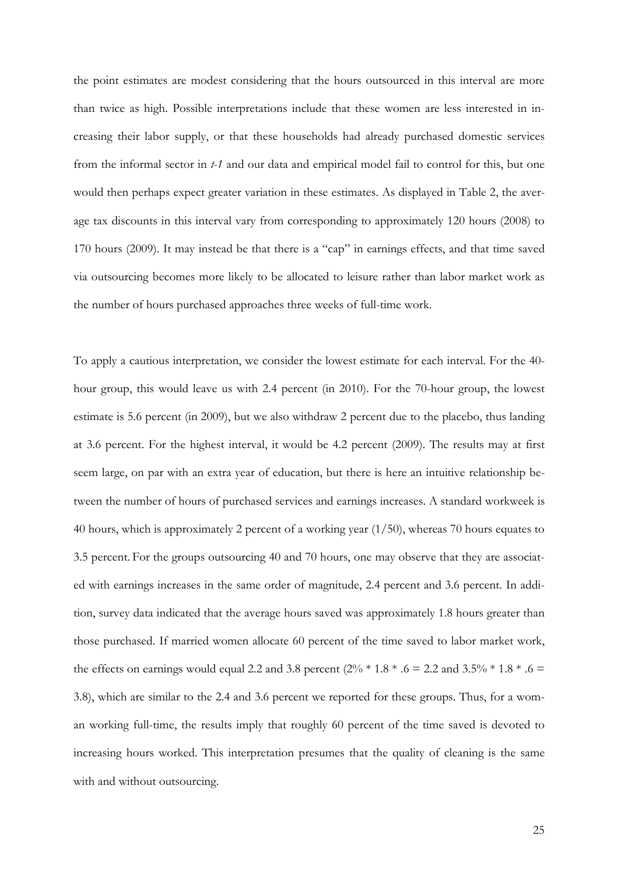the point estimates are modest considering that the hours outsourced in this interval are more than twice as high. Possible interpretations include that these women are less interested in increasing their labor supply, or that these households had already purchased domestic services from the informal sector in *t-1* and our data and empirical model fail to control for this, but one would then perhaps expect greater variation in these estimates. As displayed in Table 2, the average tax discounts in this interval vary from corresponding to approximately 120 hours (2008) to 170 hours (2009). It may instead be that there is a "cap" in earnings effects, and that time saved via outsourcing becomes more likely to be allocated to leisure rather than labor market work as the number of hours purchased approaches three weeks of full-time work.

To apply a cautious interpretation, we consider the lowest estimate for each interval. For the 40 hour group, this would leave us with 2.4 percent (in 2010). For the 70-hour group, the lowest estimate is 5.6 percent (in 2009), but we also withdraw 2 percent due to the placebo, thus landing at 3.6 percent. For the highest interval, it would be 4.2 percent (2009). The results may at first seem large, on par with an extra year of education, but there is here an intuitive relationship between the number of hours of purchased services and earnings increases. A standard workweek is 40 hours, which is approximately 2 percent of a working year (1/50), whereas 70 hours equates to 3.5 percent. For the groups outsourcing 40 and 70 hours, one may observe that they are associated with earnings increases in the same order of magnitude, 2.4 percent and 3.6 percent. In addition, survey data indicated that the average hours saved was approximately 1.8 hours greater than those purchased. If married women allocate 60 percent of the time saved to labor market work, the effects on earnings would equal 2.2 and 3.8 percent  $(2\% * 1.8 * .6 = 2.2$  and  $3.5\% * 1.8 * .6 =$ 3.8), which are similar to the 2.4 and 3.6 percent we reported for these groups. Thus, for a woman working full-time, the results imply that roughly 60 percent of the time saved is devoted to increasing hours worked. This interpretation presumes that the quality of cleaning is the same with and without outsourcing.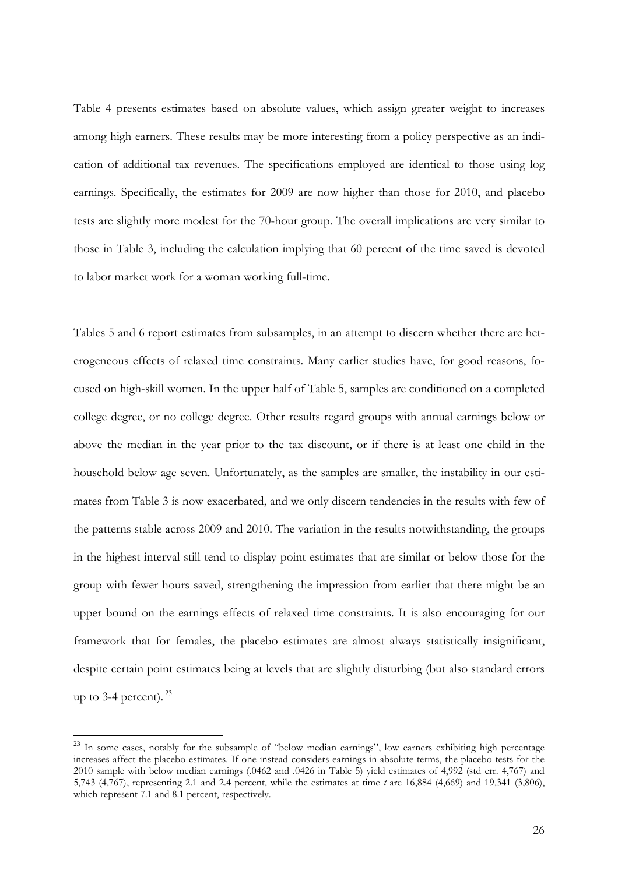Table 4 presents estimates based on absolute values, which assign greater weight to increases among high earners. These results may be more interesting from a policy perspective as an indication of additional tax revenues. The specifications employed are identical to those using log earnings. Specifically, the estimates for 2009 are now higher than those for 2010, and placebo tests are slightly more modest for the 70-hour group. The overall implications are very similar to those in Table 3, including the calculation implying that 60 percent of the time saved is devoted to labor market work for a woman working full-time.

Tables 5 and 6 report estimates from subsamples, in an attempt to discern whether there are heterogeneous effects of relaxed time constraints. Many earlier studies have, for good reasons, focused on high-skill women. In the upper half of Table 5, samples are conditioned on a completed college degree, or no college degree. Other results regard groups with annual earnings below or above the median in the year prior to the tax discount, or if there is at least one child in the household below age seven. Unfortunately, as the samples are smaller, the instability in our estimates from Table 3 is now exacerbated, and we only discern tendencies in the results with few of the patterns stable across 2009 and 2010. The variation in the results notwithstanding, the groups in the highest interval still tend to display point estimates that are similar or below those for the group with fewer hours saved, strengthening the impression from earlier that there might be an upper bound on the earnings effects of relaxed time constraints. It is also encouraging for our framework that for females, the placebo estimates are almost always statistically insignificant, despite certain point estimates being at levels that are slightly disturbing (but also standard errors up to 3-4 percent).  $23$ 

<sup>&</sup>lt;sup>23</sup> In some cases, notably for the subsample of "below median earnings", low earners exhibiting high percentage increases affect the placebo estimates. If one instead considers earnings in absolute terms, the placebo tests for the 2010 sample with below median earnings (.0462 and .0426 in Table 5) yield estimates of 4,992 (std err. 4,767) and 5,743 (4,767), representing 2.1 and 2.4 percent, while the estimates at time *t* are 16,884 (4,669) and 19,341 (3,806), which represent 7.1 and 8.1 percent, respectively.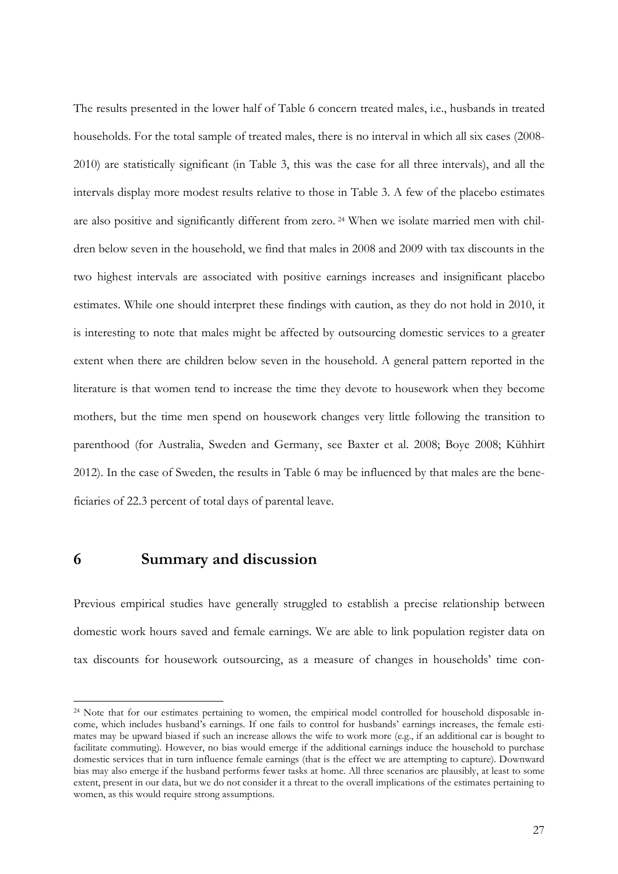The results presented in the lower half of Table 6 concern treated males, i.e., husbands in treated households. For the total sample of treated males, there is no interval in which all six cases (2008- 2010) are statistically significant (in Table 3, this was the case for all three intervals), and all the intervals display more modest results relative to those in Table 3. A few of the placebo estimates are also positive and significantly different from zero. 24 When we isolate married men with children below seven in the household, we find that males in 2008 and 2009 with tax discounts in the two highest intervals are associated with positive earnings increases and insignificant placebo estimates. While one should interpret these findings with caution, as they do not hold in 2010, it is interesting to note that males might be affected by outsourcing domestic services to a greater extent when there are children below seven in the household. A general pattern reported in the literature is that women tend to increase the time they devote to housework when they become mothers, but the time men spend on housework changes very little following the transition to parenthood (for Australia, Sweden and Germany, see Baxter et al. 2008; Boye 2008; Kühhirt 2012). In the case of Sweden, the results in Table 6 may be influenced by that males are the beneficiaries of 22.3 percent of total days of parental leave.

### **6 Summary and discussion**

 $\overline{a}$ 

Previous empirical studies have generally struggled to establish a precise relationship between domestic work hours saved and female earnings. We are able to link population register data on tax discounts for housework outsourcing, as a measure of changes in households' time con-

<sup>&</sup>lt;sup>24</sup> Note that for our estimates pertaining to women, the empirical model controlled for household disposable income, which includes husband's earnings. If one fails to control for husbands' earnings increases, the female estimates may be upward biased if such an increase allows the wife to work more (e.g., if an additional car is bought to facilitate commuting). However, no bias would emerge if the additional earnings induce the household to purchase domestic services that in turn influence female earnings (that is the effect we are attempting to capture). Downward bias may also emerge if the husband performs fewer tasks at home. All three scenarios are plausibly, at least to some extent, present in our data, but we do not consider it a threat to the overall implications of the estimates pertaining to women, as this would require strong assumptions.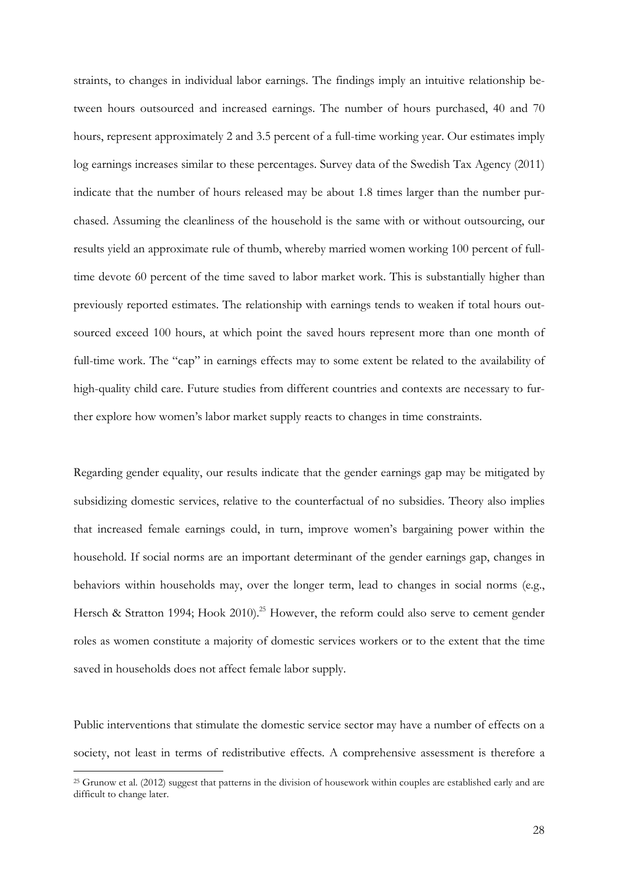straints, to changes in individual labor earnings. The findings imply an intuitive relationship between hours outsourced and increased earnings. The number of hours purchased, 40 and 70 hours, represent approximately 2 and 3.5 percent of a full-time working year. Our estimates imply log earnings increases similar to these percentages. Survey data of the Swedish Tax Agency (2011) indicate that the number of hours released may be about 1.8 times larger than the number purchased. Assuming the cleanliness of the household is the same with or without outsourcing, our results yield an approximate rule of thumb, whereby married women working 100 percent of fulltime devote 60 percent of the time saved to labor market work. This is substantially higher than previously reported estimates. The relationship with earnings tends to weaken if total hours outsourced exceed 100 hours, at which point the saved hours represent more than one month of full-time work. The "cap" in earnings effects may to some extent be related to the availability of high-quality child care. Future studies from different countries and contexts are necessary to further explore how women's labor market supply reacts to changes in time constraints.

Regarding gender equality, our results indicate that the gender earnings gap may be mitigated by subsidizing domestic services, relative to the counterfactual of no subsidies. Theory also implies that increased female earnings could, in turn, improve women's bargaining power within the household. If social norms are an important determinant of the gender earnings gap, changes in behaviors within households may, over the longer term, lead to changes in social norms (e.g., Hersch & Stratton 1994; Hook 2010).<sup>25</sup> However, the reform could also serve to cement gender roles as women constitute a majority of domestic services workers or to the extent that the time saved in households does not affect female labor supply.

Public interventions that stimulate the domestic service sector may have a number of effects on a society, not least in terms of redistributive effects. A comprehensive assessment is therefore a

<sup>25</sup> Grunow et al. (2012) suggest that patterns in the division of housework within couples are established early and are difficult to change later.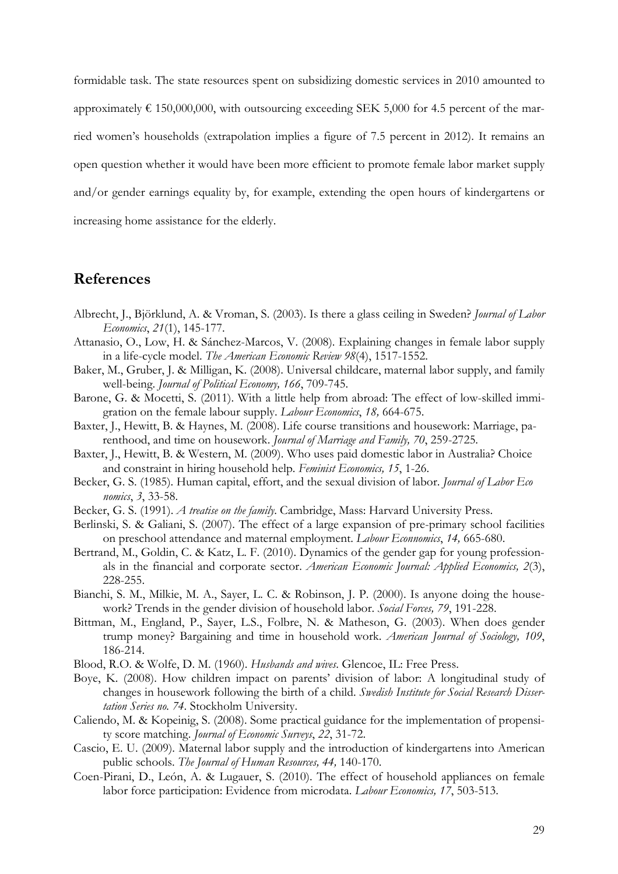formidable task. The state resources spent on subsidizing domestic services in 2010 amounted to approximately  $\epsilon$  150,000,000, with outsourcing exceeding SEK 5,000 for 4.5 percent of the married women's households (extrapolation implies a figure of 7.5 percent in 2012). It remains an open question whether it would have been more efficient to promote female labor market supply and/or gender earnings equality by, for example, extending the open hours of kindergartens or increasing home assistance for the elderly.

### **References**

- Albrecht, J., Björklund, A. & Vroman, S. (2003). Is there a glass ceiling in Sweden? *Journal of Labor Economics*, *21*(1), 145-177.
- Attanasio, O., Low, H. & Sánchez-Marcos, V. (2008). Explaining changes in female labor supply in a life-cycle model. *The American Economic Review 98*(4), 1517-1552.
- Baker, M., Gruber, J. & Milligan, K. (2008). Universal childcare, maternal labor supply, and family well-being. *Journal of Political Economy, 166*, 709-745.
- Barone, G. & Mocetti, S. (2011). With a little help from abroad: The effect of low-skilled immigration on the female labour supply. *Labour Economics*, *18,* 664-675.
- Baxter, J., Hewitt, B. & Haynes, M. (2008). Life course transitions and housework: Marriage, parenthood, and time on housework. *Journal of Marriage and Family, 70*, 259-2725.
- Baxter, J., Hewitt, B. & Western, M. (2009). Who uses paid domestic labor in Australia? Choice and constraint in hiring household help. *Feminist Economics, 15*, 1-26.
- Becker, G. S. (1985). Human capital, effort, and the sexual division of labor. *Journal of Labor Eco nomics*, *3*, 33-58.
- Becker, G. S. (1991). *A treatise on the family*. Cambridge, Mass: Harvard University Press.
- Berlinski, S. & Galiani, S. (2007). The effect of a large expansion of pre-primary school facilities on preschool attendance and maternal employment. *Labour Econnomics*, *14,* 665-680.
- Bertrand, M., Goldin, C. & Katz, L. F. (2010). Dynamics of the gender gap for young professionals in the financial and corporate sector. *American Economic Journal: Applied Economics, 2*(3), 228-255.
- Bianchi, S. M., Milkie, M. A., Sayer, L. C. & Robinson, J. P. (2000). Is anyone doing the housework? Trends in the gender division of household labor. *Social Forces, 79*, 191-228.
- Bittman, M., England, P., Sayer, L.S., Folbre, N. & Matheson, G. (2003). When does gender trump money? Bargaining and time in household work. *American Journal of Sociology, 109*, 186-214.
- Blood, R.O. & Wolfe, D. M. (1960). *Husbands and wives*. Glencoe, IL: Free Press.
- Boye, K. (2008). How children impact on parents' division of labor: A longitudinal study of changes in housework following the birth of a child. *Swedish Institute for Social Research Dissertation Series no. 74*. Stockholm University.
- Caliendo, M. & Kopeinig, S. (2008). Some practical guidance for the implementation of propensity score matching. *Journal of Economic Surveys*, *22*, 31-72.
- Cascio, E. U. (2009). Maternal labor supply and the introduction of kindergartens into American public schools. *The Journal of Human Resources, 44,* 140-170.
- Coen-Pirani, D., León, A. & Lugauer, S. (2010). The effect of household appliances on female labor force participation: Evidence from microdata. *Labour Economics, 17*, 503-513.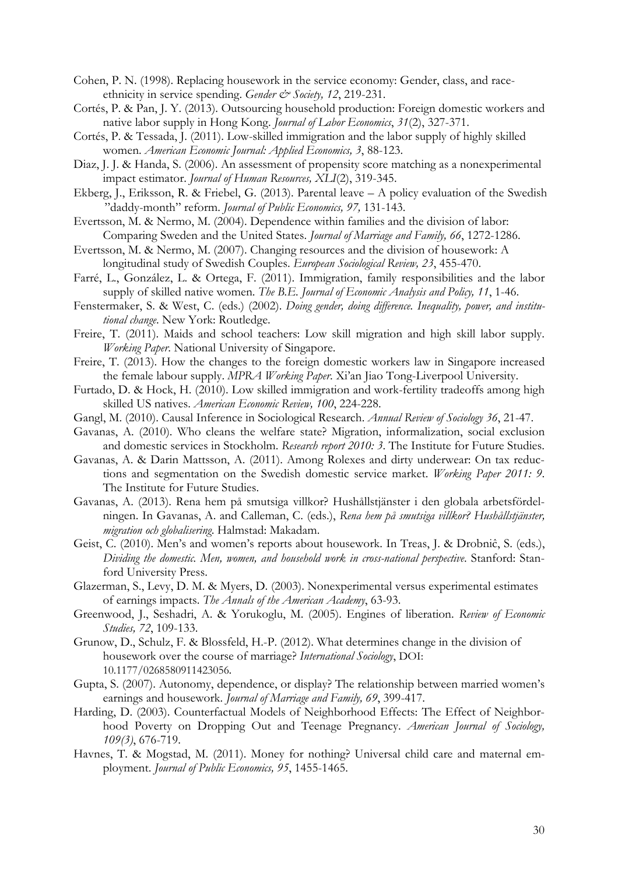- Cohen, P. N. (1998). Replacing housework in the service economy: Gender, class, and raceethnicity in service spending. *Gender & Society*, 12, 219-231.
- Cortés, P. & Pan, J. Y. (2013). Outsourcing household production: Foreign domestic workers and native labor supply in Hong Kong. *Journal of Labor Economics*, *31*(2), 327-371.
- Cortés, P. & Tessada, J. (2011). Low-skilled immigration and the labor supply of highly skilled women. *American Economic Journal: Applied Economics, 3*, 88-123.
- Diaz, J. J. & Handa, S. (2006). An assessment of propensity score matching as a nonexperimental impact estimator. *Journal of Human Resources, XLI*(2), 319-345.
- Ekberg, J., Eriksson, R. & Friebel, G. (2013). Parental leave A policy evaluation of the Swedish "daddy-month" reform. *Journal of Public Economics, 97,* 131-143.
- Evertsson, M. & Nermo, M. (2004). Dependence within families and the division of labor: Comparing Sweden and the United States. *Journal of Marriage and Family, 66*, 1272-1286.
- Evertsson, M. & Nermo, M. (2007). Changing resources and the division of housework: A longitudinal study of Swedish Couples. *European Sociological Review, 23*, 455-470.
- Farré, L., González, L. & Ortega, F. (2011). Immigration, family responsibilities and the labor supply of skilled native women. *The B.E. Journal of Economic Analysis and Policy, 11*, 1-46.
- Fenstermaker, S. & West, C. (eds.) (2002). *Doing gender, doing difference. Inequality, power, and institutional change*. New York: Routledge.
- Freire, T. (2011). Maids and school teachers: Low skill migration and high skill labor supply. *Working Paper*. National University of Singapore.
- Freire, T. (2013). How the changes to the foreign domestic workers law in Singapore increased the female labour supply. *MPRA Working Paper*. Xi'an Jiao Tong-Liverpool University.
- Furtado, D. & Hock, H. (2010). Low skilled immigration and work-fertility tradeoffs among high skilled US natives. *American Economic Review, 100*, 224-228.
- Gangl, M. (2010). Causal Inference in Sociological Research. *Annual Review of Sociology 36*, 21-47.
- Gavanas, A. (2010). Who cleans the welfare state? Migration, informalization, social exclusion and domestic services in Stockholm. *Research report 2010: 3*. The Institute for Future Studies.
- Gavanas, A. & Darin Mattsson, A. (2011). Among Rolexes and dirty underwear: On tax reductions and segmentation on the Swedish domestic service market. *Working Paper 2011: 9*. The Institute for Future Studies.
- Gavanas, A. (2013). Rena hem på smutsiga villkor? Hushållstjänster i den globala arbetsfördelningen. In Gavanas, A. and Calleman, C. (eds.), *Rena hem på smutsiga villkor? Hushållstjänster, migration och globalisering*. Halmstad: Makadam.
- Geist, C. (2010). Men's and women's reports about housework. In Treas, J. & Drobniĉ, S. (eds.), *Dividing the domestic. Men, women, and household work in cross-national perspective*. Stanford: Stanford University Press.
- Glazerman, S., Levy, D. M. & Myers, D. (2003). Nonexperimental versus experimental estimates of earnings impacts. *The Annals of the American Academy*, 63-93.
- Greenwood, J., Seshadri, A. & Yorukoglu, M. (2005). Engines of liberation. *Review of Economic Studies, 72*, 109-133.
- Grunow, D., Schulz, F. & Blossfeld, H.-P. (2012). What determines change in the division of housework over the course of marriage? *International Sociology*, DOI: 10.1177/0268580911423056.
- Gupta, S. (2007). Autonomy, dependence, or display? The relationship between married women's earnings and housework. *Journal of Marriage and Family, 69*, 399-417.
- Harding, D. (2003). Counterfactual Models of Neighborhood Effects: The Effect of Neighborhood Poverty on Dropping Out and Teenage Pregnancy. *American Journal of Sociology, 109(3)*, 676-719.
- Havnes, T. & Mogstad, M. (2011). Money for nothing? Universal child care and maternal employment. *Journal of Public Economics, 95*, 1455-1465.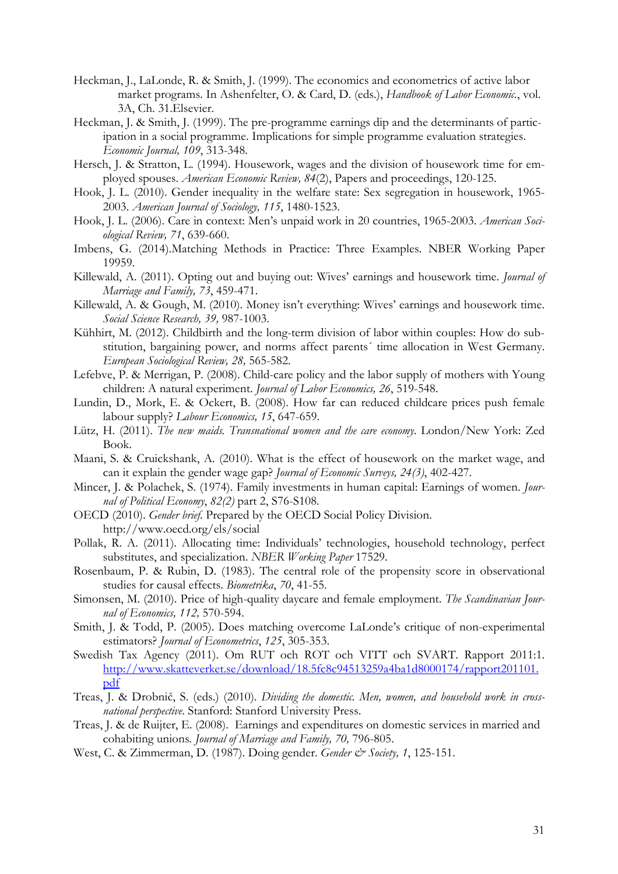- Heckman, J., LaLonde, R. & Smith, J. (1999). The economics and econometrics of active labor market programs. In Ashenfelter, O. & Card, D. (eds.), *Handbook of Labor Economic.*, vol. 3A, Ch. 31.Elsevier.
- Heckman, J. & Smith, J. (1999). The pre-programme earnings dip and the determinants of participation in a social programme. Implications for simple programme evaluation strategies. *Economic Journal, 109*, 313-348.
- Hersch, J. & Stratton, L. (1994). Housework, wages and the division of housework time for employed spouses. *American Economic Review, 84*(2), Papers and proceedings, 120-125.
- Hook, J. L. (2010). Gender inequality in the welfare state: Sex segregation in housework, 1965- 2003. *American Journal of Sociology, 115*, 1480-1523.
- Hook, J. L. (2006). Care in context: Men's unpaid work in 20 countries, 1965-2003. *American Sociological Review, 71*, 639-660.
- Imbens, G. (2014).Matching Methods in Practice: Three Examples. NBER Working Paper 19959.
- Killewald, A. (2011). Opting out and buying out: Wives' earnings and housework time. *Journal of Marriage and Family, 73*, 459-471.
- Killewald, A. & Gough, M. (2010). Money isn't everything: Wives' earnings and housework time. *Social Science Research, 39,* 987-1003.
- Kühhirt, M. (2012). Childbirth and the long-term division of labor within couples: How do substitution, bargaining power, and norms affect parents´ time allocation in West Germany. *European Sociological Review, 28,* 565-582.
- Lefebve, P. & Merrigan, P. (2008). Child-care policy and the labor supply of mothers with Young children: A natural experiment. *Journal of Labor Economics, 26*, 519-548.
- Lundin, D., Mork, E. & Ockert, B. (2008). How far can reduced childcare prices push female labour supply? *Labour Economics, 15*, 647-659.
- Lütz, H. (2011). *The new maids. Transnational women and the care economy*. London/New York: Zed Book.
- Maani, S. & Cruickshank, A. (2010). What is the effect of housework on the market wage, and can it explain the gender wage gap? *Journal of Economic Surveys, 24(3)*, 402-427.
- Mincer, J. & Polachek, S. (1974). Family investments in human capital: Earnings of women. *Journal of Political Economy*, *82(2)* part 2, S76-S108.
- OECD (2010). *Gender brief*. Prepared by the OECD Social Policy Division. http://www.oecd.org/els/social
- Pollak, R. A. (2011). Allocating time: Individuals' technologies, household technology, perfect substitutes, and specialization. *NBER Working Paper* 17529.
- Rosenbaum, P. & Rubin, D. (1983). The central role of the propensity score in observational studies for causal effects. *Biometrika*, *70*, 41-55.
- Simonsen, M. (2010). Price of high-quality daycare and female employment. *The Scandinavian Journal of Economics, 112,* 570-594.
- Smith, J. & Todd, P. (2005). Does matching overcome LaLonde's critique of non-experimental estimators? *Journal of Econometrics*, *125*, 305-353.
- Swedish Tax Agency (2011). Om RUT och ROT och VITT och SVART. Rapport 2011:1. http://www.skatteverket.se/download/18.5fc8c94513259a4ba1d8000174/rapport201101. pdf
- Treas, J. & Drobnič, S. (eds.) (2010). *Dividing the domestic. Men, women, and household work in crossnational perspective*. Stanford: Stanford University Press.
- Treas, J. & de Ruijter, E. (2008). Earnings and expenditures on domestic services in married and cohabiting unions*. Journal of Marriage and Family, 70,* 796-805.
- West, C. & Zimmerman, D. (1987). Doing gender. *Gender & Society, 1*, 125-151.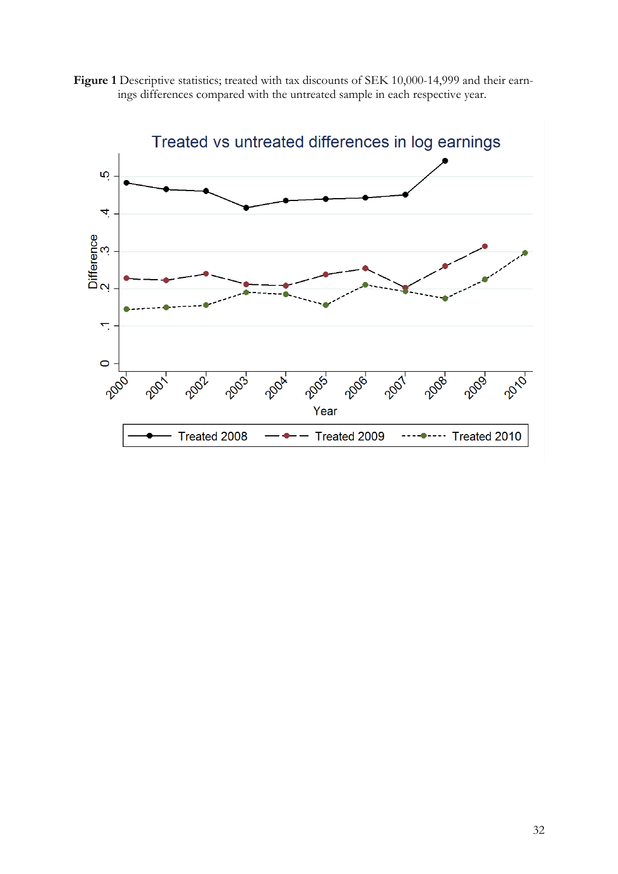

Figure 1 Descriptive statistics; treated with tax discounts of SEK 10,000-14,999 and their earnings differences compared with the untreated sample in each respective year.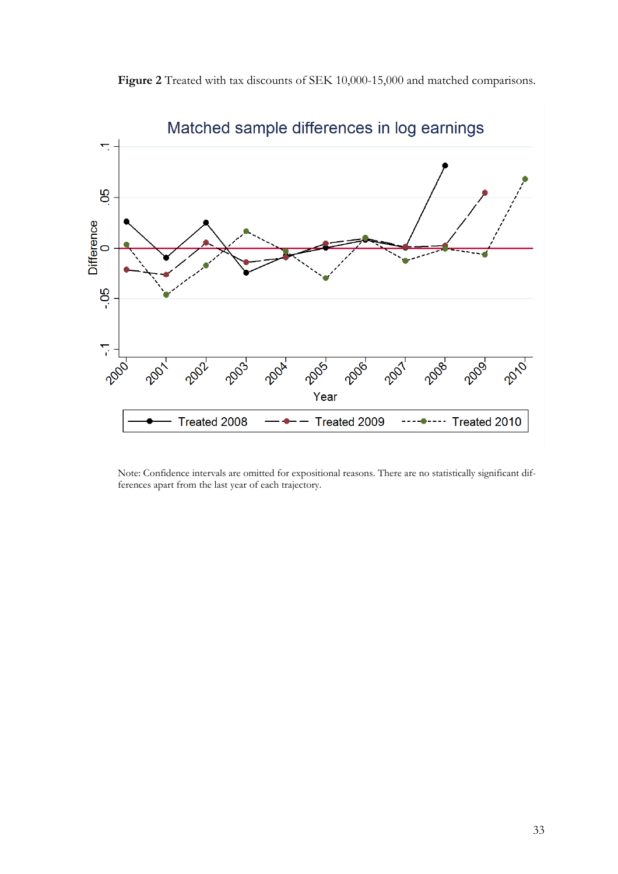

**Figure 2** Treated with tax discounts of SEK 10,000-15,000 and matched comparisons.

Note: Confidence intervals are omitted for expositional reasons. There are no statistically significant differences apart from the last year of each trajectory.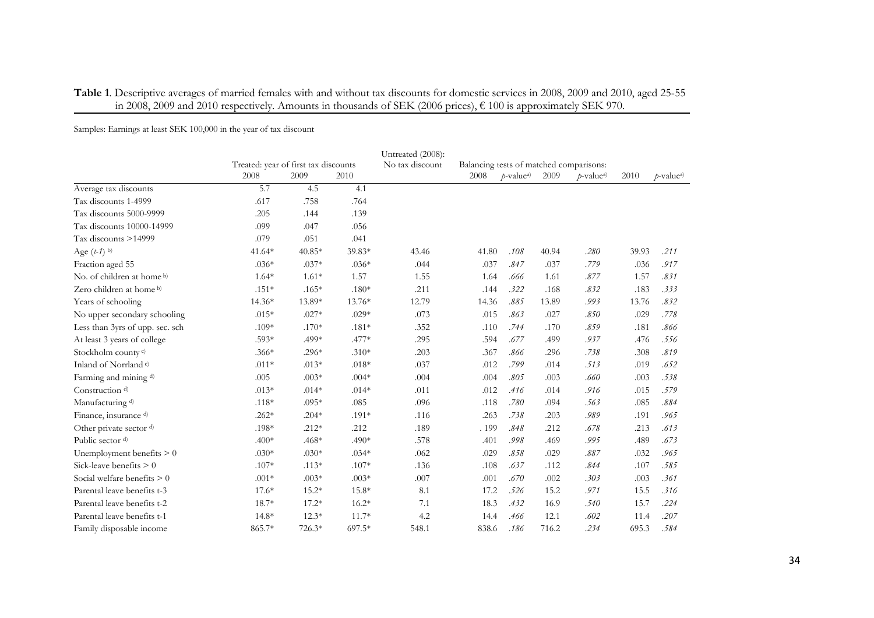|                                     |                                      |          |         | Untreated (2008): |                                         |                               |       |                       |       |                          |  |  |
|-------------------------------------|--------------------------------------|----------|---------|-------------------|-----------------------------------------|-------------------------------|-------|-----------------------|-------|--------------------------|--|--|
|                                     | Treated: year of first tax discounts |          |         | No tax discount   | Balancing tests of matched comparisons: |                               |       |                       |       |                          |  |  |
|                                     | 2008                                 | 2009     | 2010    |                   | 2008                                    | <i>p</i> -value <sup>a)</sup> | 2009  | p-value <sup>a)</sup> | 2010  | $p$ -value <sup>a)</sup> |  |  |
| Average tax discounts               | 5.7                                  | 4.5      | 4.1     |                   |                                         |                               |       |                       |       |                          |  |  |
| Tax discounts 1-4999                | .617                                 | .758     | .764    |                   |                                         |                               |       |                       |       |                          |  |  |
| Tax discounts 5000-9999             | .205                                 | .144     | .139    |                   |                                         |                               |       |                       |       |                          |  |  |
| Tax discounts 10000-14999           | .099                                 | .047     | .056    |                   |                                         |                               |       |                       |       |                          |  |  |
| Tax discounts >14999                | .079                                 | .051     | .041    |                   |                                         |                               |       |                       |       |                          |  |  |
| Age $(t-1)$ b)                      | 41.64*                               | $40.85*$ | 39.83*  | 43.46             | 41.80                                   | .108                          | 40.94 | .280                  | 39.93 | .211                     |  |  |
| Fraction aged 55                    | $.036*$                              | $.037*$  | $.036*$ | .044              | .037                                    | .847                          | .037  | .779                  | .036  | .917                     |  |  |
| No. of children at home b)          | $1.64*$                              | $1.61*$  | 1.57    | 1.55              | 1.64                                    | .666                          | 1.61  | .877                  | 1.57  | .831                     |  |  |
| Zero children at home <sup>b)</sup> | $.151*$                              | $.165*$  | $.180*$ | .211              | .144                                    | .322                          | .168  | .832                  | .183  | .333                     |  |  |
| Years of schooling                  | 14.36*                               | 13.89*   | 13.76*  | 12.79             | 14.36                                   | .885                          | 13.89 | .993                  | 13.76 | .832                     |  |  |
| No upper secondary schooling        | $.015*$                              | $.027*$  | $.029*$ | .073              | .015                                    | .863                          | .027  | .850                  | .029  | .778                     |  |  |
| Less than 3yrs of upp. sec. sch     | $.109*$                              | $.170*$  | $.181*$ | .352              | .110                                    | .744                          | .170  | .859                  | .181  | .866                     |  |  |
| At least 3 years of college         | .593*                                | .499*    | $.477*$ | .295              | .594                                    | .677                          | .499  | .937                  | .476  | .556                     |  |  |
| Stockholm county <sup>c)</sup>      | $.366*$                              | $.296*$  | $.310*$ | .203              | .367                                    | .866                          | .296  | .738                  | .308  | .819                     |  |  |
| Inland of Norrland <sup>c)</sup>    | $.011*$                              | $.013*$  | $.018*$ | .037              | .012                                    | .799                          | .014  | .513                  | .019  | .652                     |  |  |
| Farming and mining d)               | .005                                 | $.003*$  | $.004*$ | .004              | .004                                    | .805                          | .003  | .660                  | .003  | .538                     |  |  |
| Construction <sup>d)</sup>          | $.013*$                              | $.014*$  | $.014*$ | .011              | .012                                    | .416                          | .014  | .916                  | .015  | .579                     |  |  |
| Manufacturing d)                    | $.118*$                              | $.095*$  | .085    | .096              | .118                                    | .780                          | .094  | .563                  | .085  | .884                     |  |  |
| Finance, insurance d)               | $.262*$                              | $.204*$  | $.191*$ | .116              | .263                                    | .738                          | .203  | .989                  | .191  | .965                     |  |  |
| Other private sector d)             | .198*                                | $.212*$  | .212    | .189              | .199                                    | .848                          | .212  | .678                  | .213  | .613                     |  |  |
| Public sector d)                    | $.400*$                              | .468*    | $.490*$ | .578              | .401                                    | .998                          | .469  | .995                  | .489  | .673                     |  |  |
| Unemployment benefits $> 0$         | $.030*$                              | $.030*$  | $.034*$ | .062              | .029                                    | .858                          | .029  | .887                  | .032  | .965                     |  |  |
| Sick-leave benefits $> 0$           | $.107*$                              | $.113*$  | $.107*$ | .136              | .108                                    | .637                          | .112  | .844                  | .107  | .585                     |  |  |
| Social welfare benefits $> 0$       | $.001*$                              | $.003*$  | $.003*$ | .007              | .001                                    | .670                          | .002  | .303                  | .003  | .361                     |  |  |
| Parental leave benefits t-3         | $17.6*$                              | $15.2*$  | 15.8*   | 8.1               | 17.2                                    | .526                          | 15.2  | .971                  | 15.5  | .316                     |  |  |
| Parental leave benefits t-2         | 18.7*                                | $17.2*$  | $16.2*$ | 7.1               | 18.3                                    | .432                          | 16.9  | .540                  | 15.7  | .224                     |  |  |
| Parental leave benefits t-1         | $14.8*$                              | $12.3*$  | $11.7*$ | 4.2               | 14.4                                    | .466                          | 12.1  | .602                  | 11.4  | .207                     |  |  |
| Family disposable income            | 865.7*                               | 726.3*   | 697.5*  | 548.1             | 838.6                                   | .186                          | 716.2 | .234                  | 695.3 | .584                     |  |  |

#### **Table 1**. Descriptive averages of married females with and without tax discounts for domestic services in 2008, 2009 and 2010, aged 25-55 in 2008, 2009 and 2010 respectively. Amounts in thousands of SEK (2006 prices), € 100 is approximately SEK 970.

Samples: Earnings at least SEK 100,000 in the year of tax discount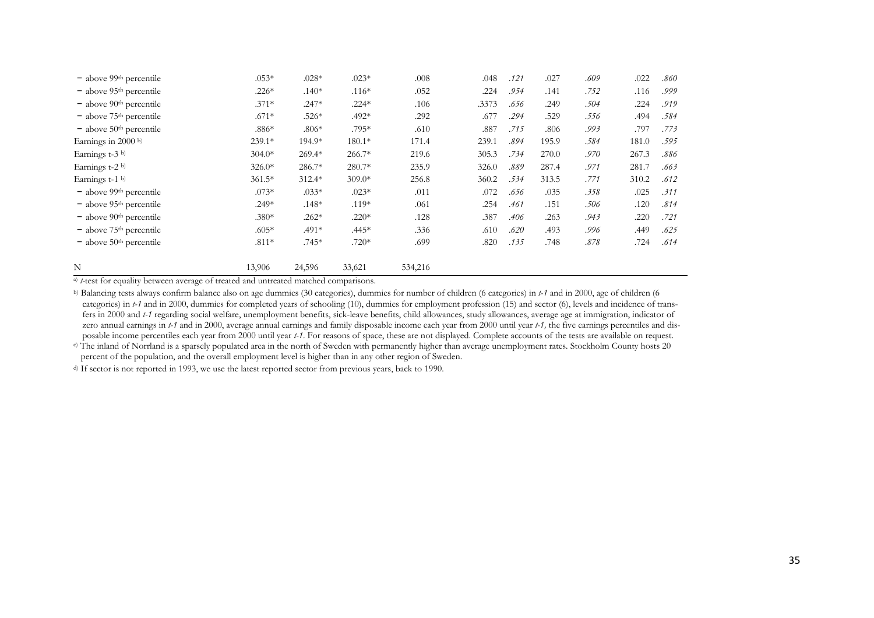| - above 99th percentile                                                                                                                                                                                                                                                                                                                                                                                                                                                                                                                                                                                                                                                                                                                                                                                                                                                                                                                                                           | $.053*$  | $.028*$ | $.023*$  | $.008$  | .048  | .121 | .027  | $.609\,$ | .022  | $.860\,$ |
|-----------------------------------------------------------------------------------------------------------------------------------------------------------------------------------------------------------------------------------------------------------------------------------------------------------------------------------------------------------------------------------------------------------------------------------------------------------------------------------------------------------------------------------------------------------------------------------------------------------------------------------------------------------------------------------------------------------------------------------------------------------------------------------------------------------------------------------------------------------------------------------------------------------------------------------------------------------------------------------|----------|---------|----------|---------|-------|------|-------|----------|-------|----------|
| - above 95 <sup>th</sup> percentile                                                                                                                                                                                                                                                                                                                                                                                                                                                                                                                                                                                                                                                                                                                                                                                                                                                                                                                                               | $.226*$  | $.140*$ | $.116*$  | .052    | .224  | .954 | .141  | .752     | .116  | .999     |
| - above 90th percentile                                                                                                                                                                                                                                                                                                                                                                                                                                                                                                                                                                                                                                                                                                                                                                                                                                                                                                                                                           | $.371*$  | $.247*$ | $.224*$  | .106    | .3373 | .656 | .249  | .504     | .224  | .919     |
| $-$ above $75th$ percentile                                                                                                                                                                                                                                                                                                                                                                                                                                                                                                                                                                                                                                                                                                                                                                                                                                                                                                                                                       | $.671*$  | $.526*$ | $.492*$  | .292    | .677  | .294 | .529  | .556     | .494  | .584     |
| $-$ above 50 <sup>th</sup> percentile                                                                                                                                                                                                                                                                                                                                                                                                                                                                                                                                                                                                                                                                                                                                                                                                                                                                                                                                             | $.886*$  | $.806*$ | .795*    | .610    | .887  | .715 | .806  | .993     | .797  | .773     |
| Earnings in 2000 b)                                                                                                                                                                                                                                                                                                                                                                                                                                                                                                                                                                                                                                                                                                                                                                                                                                                                                                                                                               | 239.1*   | 194.9*  | $180.1*$ | 171.4   | 239.1 | .894 | 195.9 | .584     | 181.0 | .595     |
| Earnings t-3 b)                                                                                                                                                                                                                                                                                                                                                                                                                                                                                                                                                                                                                                                                                                                                                                                                                                                                                                                                                                   | $304.0*$ | 269.4*  | 266.7*   | 219.6   | 305.3 | .734 | 270.0 | $.970\,$ | 267.3 | $.886\,$ |
| Earnings t-2 b)                                                                                                                                                                                                                                                                                                                                                                                                                                                                                                                                                                                                                                                                                                                                                                                                                                                                                                                                                                   | $326.0*$ | 286.7*  | 280.7*   | 235.9   | 326.0 | .889 | 287.4 | .971     | 281.7 | .663     |
| Earnings t-1 b)                                                                                                                                                                                                                                                                                                                                                                                                                                                                                                                                                                                                                                                                                                                                                                                                                                                                                                                                                                   | $361.5*$ | 312.4*  | $309.0*$ | 256.8   | 360.2 | .534 | 313.5 | .771     | 310.2 | .612     |
| - above 99 <sup>th</sup> percentile                                                                                                                                                                                                                                                                                                                                                                                                                                                                                                                                                                                                                                                                                                                                                                                                                                                                                                                                               | $.073*$  | $.033*$ | $.023*$  | .011    | .072  | .656 | .035  | .358     | .025  | .311     |
| $-$ above 95 <sup>th</sup> percentile                                                                                                                                                                                                                                                                                                                                                                                                                                                                                                                                                                                                                                                                                                                                                                                                                                                                                                                                             | $.249*$  | $.148*$ | $.119*$  | .061    | .254  | .461 | .151  | $.506\,$ | .120  | .814     |
| - above 90th percentile                                                                                                                                                                                                                                                                                                                                                                                                                                                                                                                                                                                                                                                                                                                                                                                                                                                                                                                                                           | $.380*$  | $.262*$ | $.220*$  | .128    | .387  | .406 | .263  | .943     | .220  | .721     |
| - above 75 <sup>th</sup> percentile                                                                                                                                                                                                                                                                                                                                                                                                                                                                                                                                                                                                                                                                                                                                                                                                                                                                                                                                               | $.605*$  | $.491*$ | $.445*$  | .336    | .610  | .620 | .493  | .996     | .449  | .625     |
| $-$ above $50th$ percentile                                                                                                                                                                                                                                                                                                                                                                                                                                                                                                                                                                                                                                                                                                                                                                                                                                                                                                                                                       | $.811*$  | $.745*$ | $.720*$  | .699    | .820  | .135 | .748  | $.878\,$ | .724  | .614     |
| Ν                                                                                                                                                                                                                                                                                                                                                                                                                                                                                                                                                                                                                                                                                                                                                                                                                                                                                                                                                                                 | 13,906   | 24,596  | 33,621   | 534,216 |       |      |       |          |       |          |
|                                                                                                                                                                                                                                                                                                                                                                                                                                                                                                                                                                                                                                                                                                                                                                                                                                                                                                                                                                                   |          |         |          |         |       |      |       |          |       |          |
| a) <i>t</i> -test for equality between average of treated and untreated matched comparisons.<br>b) Balancing tests always confirm balance also on age dummies (30 categories), dummies for number of children (6 categories) in t-1 and in 2000, age of children (6<br>categories) in t-1 and in 2000, dummies for completed years of schooling (10), dummies for employment profession (15) and sector (6), levels and incidence of trans-<br>fers in 2000 and t-1 regarding social welfare, unemployment benefits, sick-leave benefits, child allowances, study allowances, average age at immigration, indicator of<br>zero annual earnings in $t-1$ and in 2000, average annual earnings and family disposable income each year from 2000 until year $t-1$ , the five earnings percentiles and dis-<br>posable income percentiles each year from 2000 until year t-1. For reasons of space, these are not displayed. Complete accounts of the tests are available on request. |          |         |          |         |       |      |       |          |       |          |
| c) The inland of Norrland is a sparsely populated area in the north of Sweden with permanently higher than average unemployment rates. Stockholm County hosts 20<br>percent of the population, and the overall employment level is higher than in any other region of Sweden.                                                                                                                                                                                                                                                                                                                                                                                                                                                                                                                                                                                                                                                                                                     |          |         |          |         |       |      |       |          |       |          |
| d) If sector is not reported in 1993, we use the latest reported sector from previous years, back to 1990.                                                                                                                                                                                                                                                                                                                                                                                                                                                                                                                                                                                                                                                                                                                                                                                                                                                                        |          |         |          |         |       |      |       |          |       |          |
|                                                                                                                                                                                                                                                                                                                                                                                                                                                                                                                                                                                                                                                                                                                                                                                                                                                                                                                                                                                   |          |         |          |         |       |      |       |          |       |          |
|                                                                                                                                                                                                                                                                                                                                                                                                                                                                                                                                                                                                                                                                                                                                                                                                                                                                                                                                                                                   |          |         |          |         |       |      |       |          |       |          |
|                                                                                                                                                                                                                                                                                                                                                                                                                                                                                                                                                                                                                                                                                                                                                                                                                                                                                                                                                                                   |          |         |          |         |       |      |       |          |       |          |
|                                                                                                                                                                                                                                                                                                                                                                                                                                                                                                                                                                                                                                                                                                                                                                                                                                                                                                                                                                                   |          |         |          |         |       |      |       |          |       |          |
|                                                                                                                                                                                                                                                                                                                                                                                                                                                                                                                                                                                                                                                                                                                                                                                                                                                                                                                                                                                   |          |         |          |         |       |      |       |          |       |          |
|                                                                                                                                                                                                                                                                                                                                                                                                                                                                                                                                                                                                                                                                                                                                                                                                                                                                                                                                                                                   |          |         |          |         |       |      |       |          |       |          |
|                                                                                                                                                                                                                                                                                                                                                                                                                                                                                                                                                                                                                                                                                                                                                                                                                                                                                                                                                                                   |          |         |          |         |       |      |       |          |       |          |
|                                                                                                                                                                                                                                                                                                                                                                                                                                                                                                                                                                                                                                                                                                                                                                                                                                                                                                                                                                                   |          |         |          |         |       |      |       |          |       |          |
|                                                                                                                                                                                                                                                                                                                                                                                                                                                                                                                                                                                                                                                                                                                                                                                                                                                                                                                                                                                   |          |         |          |         |       |      |       |          |       |          |
|                                                                                                                                                                                                                                                                                                                                                                                                                                                                                                                                                                                                                                                                                                                                                                                                                                                                                                                                                                                   |          |         |          |         |       |      |       |          |       |          |
|                                                                                                                                                                                                                                                                                                                                                                                                                                                                                                                                                                                                                                                                                                                                                                                                                                                                                                                                                                                   |          |         |          |         |       |      |       |          |       |          |
|                                                                                                                                                                                                                                                                                                                                                                                                                                                                                                                                                                                                                                                                                                                                                                                                                                                                                                                                                                                   |          |         |          |         |       |      |       |          |       |          |
|                                                                                                                                                                                                                                                                                                                                                                                                                                                                                                                                                                                                                                                                                                                                                                                                                                                                                                                                                                                   |          |         |          |         |       |      |       |          |       |          |
|                                                                                                                                                                                                                                                                                                                                                                                                                                                                                                                                                                                                                                                                                                                                                                                                                                                                                                                                                                                   |          |         |          |         |       |      |       |          |       |          |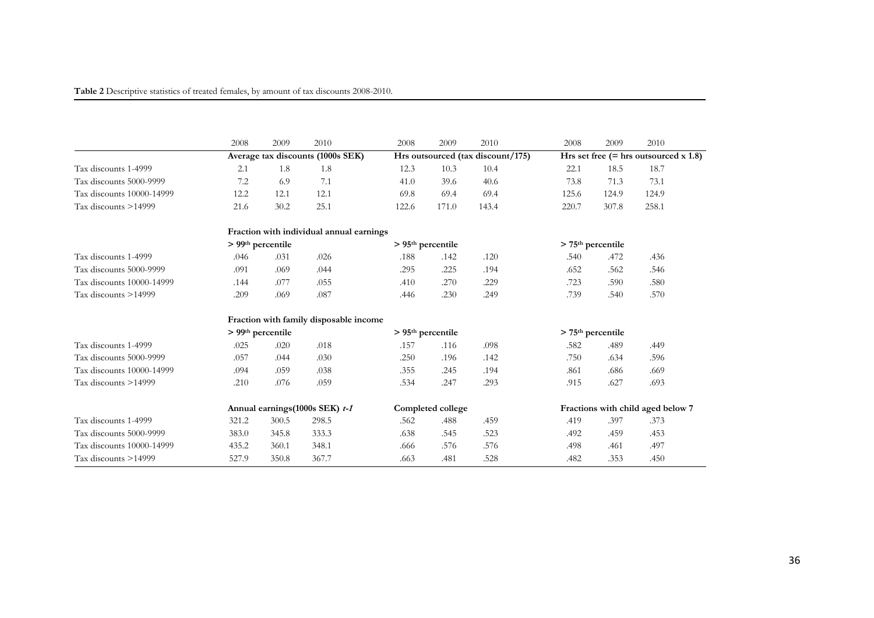| Table 2 Descriptive statistics of treated females, by amount of tax discounts 2008-2010. |  |  |
|------------------------------------------------------------------------------------------|--|--|
|------------------------------------------------------------------------------------------|--|--|

|                           | 2008  | 2009                | 2010                                     | 2008  | 2009                | 2010                              | 2008                            | 2009  | 2010                                    |
|---------------------------|-------|---------------------|------------------------------------------|-------|---------------------|-----------------------------------|---------------------------------|-------|-----------------------------------------|
|                           |       |                     | Average tax discounts (1000s SEK)        |       |                     | Hrs outsourced (tax discount/175) |                                 |       | Hrs set free $(=$ hrs outsourced x 1.8) |
| Tax discounts 1-4999      | 2.1   | 1.8                 | 1.8                                      | 12.3  | 10.3                | 10.4                              | 22.1                            | 18.5  | 18.7                                    |
| Tax discounts 5000-9999   | 7.2   | 6.9                 | 7.1                                      | 41.0  | 39.6                | 40.6                              | 73.8                            | 71.3  | 73.1                                    |
| Tax discounts 10000-14999 | 12.2  | 12.1                | 12.1                                     | 69.8  | 69.4                | 69.4                              | 125.6                           | 124.9 | 124.9                                   |
| Tax discounts >14999      | 21.6  | 30.2                | 25.1                                     | 122.6 | 171.0               | 143.4                             | 220.7                           | 307.8 | 258.1                                   |
|                           |       |                     | Fraction with individual annual earnings |       |                     |                                   |                                 |       |                                         |
|                           |       | $> 99th$ percentile |                                          |       | $> 95th$ percentile |                                   | $>$ 75 <sup>th</sup> percentile |       |                                         |
| Tax discounts 1-4999      | .046  | .031                | .026                                     | .188  | .142                | .120                              | .540                            | .472  | .436                                    |
| Tax discounts 5000-9999   | .091  | .069                | .044                                     | .295  | .225                | .194                              | .652                            | .562  | .546                                    |
| Tax discounts 10000-14999 | .144  | .077                | .055                                     | .410  | .270                | .229                              | .723                            | .590  | .580                                    |
| Tax discounts >14999      | .209  | .069                | .087                                     | .446  | .230                | .249                              | .739                            | .540  | .570                                    |
|                           |       |                     | Fraction with family disposable income   |       |                     |                                   |                                 |       |                                         |
|                           |       | $> 99th$ percentile |                                          |       | $> 95th$ percentile |                                   | $>$ 75 <sup>th</sup> percentile |       |                                         |
| Tax discounts 1-4999      | .025  | .020                | .018                                     | .157  | .116                | .098                              | .582                            | .489  | .449                                    |
| Tax discounts 5000-9999   | .057  | .044                | .030                                     | .250  | .196                | .142                              | .750                            | .634  | .596                                    |
| Tax discounts 10000-14999 | .094  | .059                | .038                                     | .355  | .245                | .194                              | .861                            | .686  | .669                                    |
| Tax discounts >14999      | .210  | .076                | .059                                     | .534  | .247                | .293                              | .915                            | .627  | .693                                    |
|                           |       |                     | Annual earnings (1000s SEK) t-1          |       | Completed college   |                                   |                                 |       | Fractions with child aged below 7       |
| Tax discounts 1-4999      | 321.2 | 300.5               | 298.5                                    | .562  | .488                | .459                              | .419                            | .397  | .373                                    |
| Tax discounts 5000-9999   | 383.0 | 345.8               | 333.3                                    | .638  | .545                | .523                              | .492                            | .459  | .453                                    |
| Tax discounts 10000-14999 | 435.2 | 360.1               | 348.1                                    | .666  | .576                | .576                              | .498                            | .461  | .497                                    |
| Tax discounts >14999      | 527.9 | 350.8               | 367.7                                    | .663  | .481                | .528                              | .482                            | .353  | .450                                    |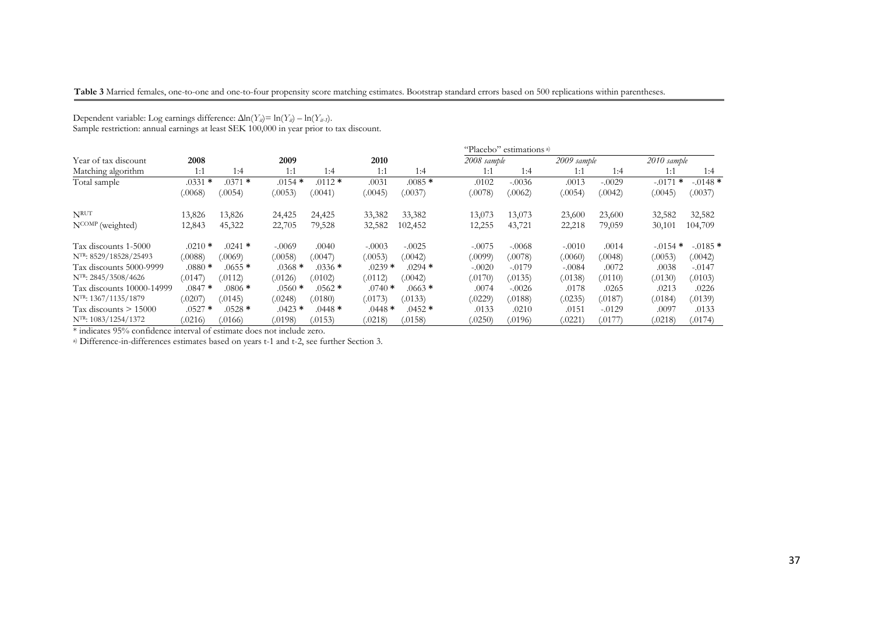#### **Table 3** Married females, one-to-one and one-to-four propensity score matching estimates. Bootstrap standard errors based on 500 replications within parentheses.

|                            |           |           |           |          |           |           |             | "Placebo" estimations <sup>a)</sup> |             |             |           |            |
|----------------------------|-----------|-----------|-----------|----------|-----------|-----------|-------------|-------------------------------------|-------------|-------------|-----------|------------|
| Year of tax discount       | 2008      |           | 2009      |          | 2010      |           | 2008 sample |                                     | 2009 sample | 2010 sample |           |            |
| Matching algorithm         | 1:1       | 1:4       | 1:1       | 1:4      | 1:1       | 1:4       | 1:1         | 1:4                                 | 1:1         | 1:4         | 1:1       | 1:4        |
| Total sample               | $.0331$ * | $.0371$ * | $.0154$ * | $.0112*$ | .0031     | $.0085*$  | .0102       | $-.0036$                            | .0013       | $-.0029$    | $-0171$ * | $-.0148*$  |
|                            | (.0068)   | (.0054)   | (.0053)   | (.0041)  | (.0045)   | (.0037)   | (.0078)     | (.0062)                             | (.0054)     | (.0042)     | (.0045)   | (.0037)    |
| <b>NRUT</b>                | 13,826    | 13,826    | 24,425    | 24,425   | 33,382    | 33,382    | 13,073      | 13,073                              | 23,600      | 23,600      | 32,582    | 32,582     |
| NCOMP (weighted)           | 12,843    | 45,322    | 22,705    | 79,528   | 32,582    | 102,452   | 12,255      | 43,721                              | 22,218      | 79,059      | 30,101    | 104,709    |
| Tax discounts 1-5000       | $.0210*$  | $.0241$ * | $-.0069$  | .0040    | $-.0003$  | $-.0025$  | $-.0075$    | $-.0068$                            | $-.0010$    | .0014       | $-0154$ * | $-0.0185*$ |
| NTR: 8529/18528/25493      | (.0088)   | (.0069)   | (.0058)   | (.0047)  | (.0053)   | (.0042)   | (.0099)     | (.0078)                             | (.0060)     | (.0048)     | (.0053)   | (.0042)    |
| Tax discounts 5000-9999    | $0880*$   | $.0655*$  | $.0368*$  | $.0336*$ | $.0239$ * | $.0294$ * | $-.0020$    | $-.0179$                            | $-.0084$    | .0072       | .0038     | $-.0147$   |
| $N^{TR}$ : 2845/3508/4626  | (.0147)   | (.0112)   | (.0126)   | (.0102)  | (.0112)   | (.0042)   | (.0170)     | (.0135)                             | (.0138)     | (.0110)     | (.0130)   | (.0103)    |
| Tax discounts 10000-14999  | $.0847*$  | $.0806*$  | $.0560*$  | $.0562*$ | $.0740*$  | $.0663*$  | .0074       | $-.0026$                            | .0178       | .0265       | .0213     | .0226      |
| NTR: 1367/1135/1879        | (.0207)   | (0145)    | (.0248)   | (.0180)  | (.0173)   | (.0133)   | (.0229)     | (.0188)                             | (.0235)     | (.0187)     | (.0184)   | (.0139)    |
| Tax discounts $\geq 15000$ | $.0527$ * | $.0528*$  | $.0423$ * | $.0448*$ | $.0448*$  | $.0452*$  | .0133       | .0210                               | .0151       | $-0.0129$   | .0097     | .0133      |
| NTR: 1083/1254/1372        | (.0216)   | (0166)    | (.0198)   | (.0153)  | (0218)    | (.0158)   | (.0250)     | (0196)                              | (.0221)     | (0177)      | (.0218)   | (.0174)    |

Dependent variable: Log earnings difference: Δln(*Y<sub>it</sub>*)= ln(*Y<sub>it</sub>*) – ln(*Y<sub>it-1</sub>*).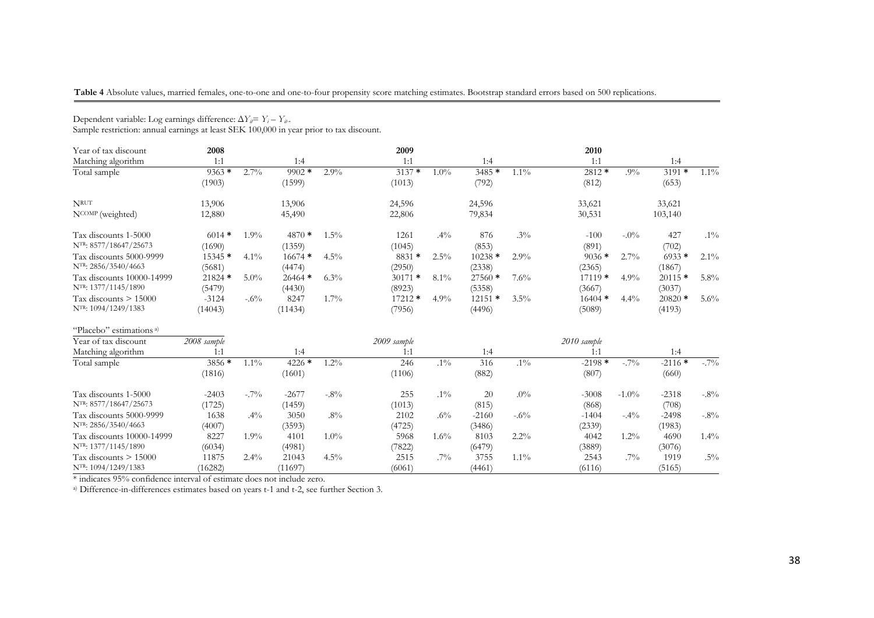#### **Table 4** Absolute values, married females, one-to-one and one-to-four propensity score matching estimates. Bootstrap standard errors based on 500 replications.

| Dependent variable. Log earlings difference. $\Delta T_{\mu} = T_{\mu} - T_{\mu}$ .<br>Sample restriction: annual earnings at least SEK 100,000 in year prior to tax discount. |             |         |          |         |             |         |          |         |             |          |          |         |
|--------------------------------------------------------------------------------------------------------------------------------------------------------------------------------|-------------|---------|----------|---------|-------------|---------|----------|---------|-------------|----------|----------|---------|
| Year of tax discount                                                                                                                                                           | 2008        |         |          |         | 2009        |         |          |         | 2010        |          |          |         |
| Matching algorithm                                                                                                                                                             | 1:1         |         | 1:4      |         | 1:1         |         | 1:4      |         | 1:1         |          | 1:4      |         |
| Total sample                                                                                                                                                                   | $9363*$     | 2.7%    | $9902*$  | 2.9%    | $3137*$     | $1.0\%$ | $3485*$  | $1.1\%$ | 2812 *      | $.9\%$   | $3191*$  | $1.1\%$ |
|                                                                                                                                                                                | (1903)      |         | (1599)   |         | (1013)      |         | (792)    |         | (812)       |          | (653)    |         |
| <b>NRUT</b>                                                                                                                                                                    | 13,906      |         | 13,906   |         | 24,596      |         | 24,596   |         | 33,621      |          | 33,621   |         |
| NCOMP (weighted)                                                                                                                                                               | 12,880      |         | 45,490   |         | 22,806      |         | 79,834   |         | 30,531      |          | 103,140  |         |
| Tax discounts 1-5000                                                                                                                                                           | $6014*$     | $1.9\%$ | $4870*$  | $1.5\%$ | 1261        | $.4\%$  | 876      | $.3\%$  | $-100$      | $-.0\%$  | 427      | $.1\%$  |
| NTR: 8577/18647/25673                                                                                                                                                          | (1690)      |         | (1359)   |         | (1045)      |         | (853)    |         | (891)       |          | (702)    |         |
| Tax discounts 5000-9999                                                                                                                                                        | $15345*$    | $4.1\%$ | $16674*$ | $4.5\%$ | 8831 *      | 2.5%    | $10238*$ | 2.9%    | $9036*$     | 2.7%     | $6933*$  | $2.1\%$ |
| NTR: 2856/3540/4663                                                                                                                                                            | (5681)      |         | (4474)   |         | (2950)      |         | (2338)   |         | (2365)      |          | (1867)   |         |
| Tax discounts 10000-14999                                                                                                                                                      | $21824$ *   | $5.0\%$ | $26464*$ | $6.3\%$ | $30171$ *   | $8.1\%$ | $27560*$ | 7.6%    | $17119*$    | 4.9%     | $20115*$ | $5.8\%$ |
| NTR: 1377/1145/1890                                                                                                                                                            | (5479)      |         | (4430)   |         | (8923)      |         | (5358)   |         | (3667)      |          | (3037)   |         |
| Tax discounts $> 15000$                                                                                                                                                        | $-3124$     | $-.6\%$ | 8247     | $1.7\%$ | $17212*$    | 4.9%    | $12151*$ | 3.5%    | $16404*$    | 4.4%     | $20820*$ | $5.6\%$ |
| NTR: 1094/1249/1383                                                                                                                                                            | (14043)     |         | (11434)  |         | (7956)      |         | (4496)   |         | (5089)      |          | (4193)   |         |
| "Placebo" estimations <sup>a)</sup>                                                                                                                                            |             |         |          |         |             |         |          |         |             |          |          |         |
| Year of tax discount                                                                                                                                                           | 2008 sample |         |          |         | 2009 sample |         |          |         | 2010 sample |          |          |         |
| Matching algorithm                                                                                                                                                             | 1:1         |         | 1:4      |         | 1:1         |         | 1:4      |         | 1:1         |          | 1:4      |         |
| Total sample                                                                                                                                                                   | 3856 *      | $1.1\%$ | 4226 *   | 1.2%    | 246         | $.1\%$  | 316      | $.1\%$  | $-2198*$    | $-.7\%$  | $-2116*$ | $-.7\%$ |
|                                                                                                                                                                                | (1816)      |         | (1601)   |         | (1106)      |         | (882)    |         | (807)       |          | (660)    |         |
| Tax discounts 1-5000                                                                                                                                                           | $-2403$     | $-.7\%$ | $-2677$  | $-.8%$  | 255         | $.1\%$  | 20       | $.0\%$  | $-3008$     | $-1.0\%$ | $-2318$  | $-8\%$  |
| NTR: 8577/18647/25673                                                                                                                                                          | (1725)      |         | (1459)   |         | (1013)      |         | (815)    |         | (868)       |          | (708)    |         |
| Tax discounts 5000-9999                                                                                                                                                        | 1638        | $.4\%$  | 3050     | $.8\%$  | 2102        | $.6\%$  | $-2160$  | $-.6\%$ | $-1404$     | $-.4\%$  | $-2498$  | $-.8%$  |
| NTR: 2856/3540/4663                                                                                                                                                            | (4007)      |         | (3593)   |         | (4725)      |         | (3486)   |         | (2339)      |          | (1983)   |         |
| Tax discounts 10000-14999                                                                                                                                                      | 8227        | $1.9\%$ | 4101     | $1.0\%$ | 5968        | $1.6\%$ | 8103     | $2.2\%$ | 4042        | $1.2\%$  | 4690     | $1.4\%$ |
| NTR: 1377/1145/1890                                                                                                                                                            | (6034)      |         | (4981)   |         | (7822)      |         | (6479)   |         | (3889)      |          | (3076)   |         |
| Tax discounts $> 15000$                                                                                                                                                        | 11875       | $2.4\%$ | 21043    | $4.5\%$ | 2515        | $.7\%$  | 3755     | $1.1\%$ | 2543        | $.7\%$   | 1919     | $.5\%$  |
| NTR: 1094/1249/1383                                                                                                                                                            | (16282)     |         | (11697)  |         | (6061)      |         | (4461)   |         | (6116)      |          | (5165)   |         |
| * indicates 95% confidence interval of estimate does not include zero.                                                                                                         |             |         |          |         |             |         |          |         |             |          |          |         |

Dependent variable: Log earnings difference: ∆*Yit*<sup>=</sup>*Yi* – *<sup>Y</sup>it-*.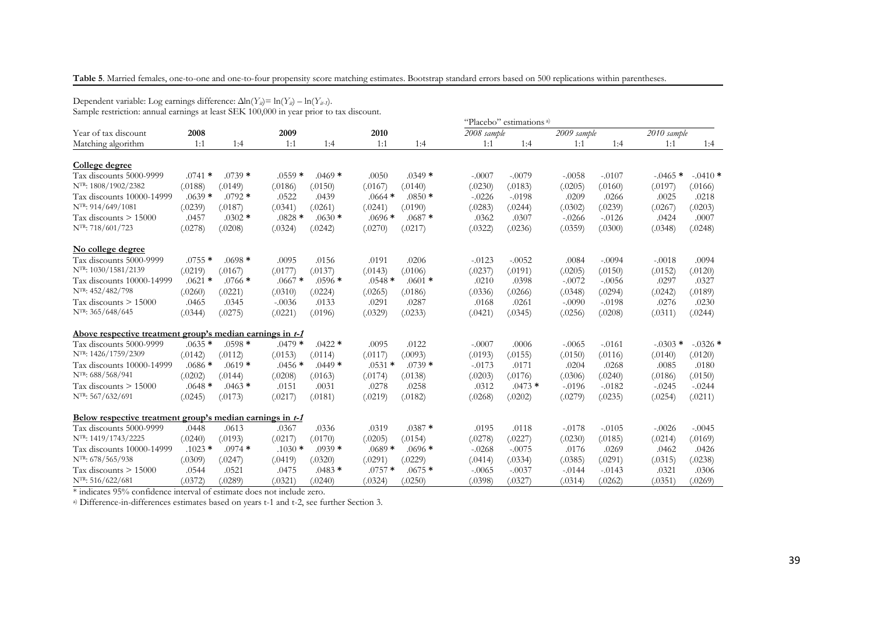**Table 5**. Married females, one-to-one and one-to-four propensity score matching estimates. Bootstrap standard errors based on 500 replications within parentheses.

Dependent variable: Log earnings difference: ∆ln(*Yit*)= ln(*Yit*) – ln(*Yit-1*). Sample restriction: annual earnings at least SEK 100,000 in year prior to tax discount. "Placebo" estimations a) Year of tax discount **<sup>2008</sup> <sup>2009</sup> <sup>2010</sup>** *2008 sample 2009 sample 2010 sample* Matching algorithmm 1:1 1:4 1:1 1:4 1:1 1:4 1:1 1:4 1:1 1:4 1:1 1:4 1:1 1:4 **College degree** Tax discounts 5000-9999 .0741 **\*** .0739 **\*** .0559 **\*** .0469 **\*** .0050 .0349 **\*** -.0007 -.0079 -.0058 -.0107 -.0465 **\*** -.0410 **\*** NTR: 1808/1902/2382 (.0188) (.0149) (.0186) (.0150) (.0167) (.0140) (.0230) (.0183) (.0205) (.0160) (.0197) (.0166) Tax discounts 10000-14999 $.0639$  **\***<br> $(.0239)$  .0792 **\*** .0522 .0439 .0664 **\*** .0850 **\*** -.0226 -.0198 .0209 .0266 .0025 .0218 NTR: 914/649/1081 (.0239) (.0187) (.0341) (.0261) (.0241) (.0190) (.0283) (.0244) (.0302) (.0239) (.0267) (.0203) Tax discounts > 15000 .0457 .0302 **\*** .0828 **\*** .0630 **\*** .0696 **\*** .0687 **\*** .0362 .0307 -.0266 -.0126 .0424 .0007 NTR: 718/601/723 (.0278) (.0208) (.0324) (.0242) (.0270) (.0217) (.0322) (.0236) (.0359) (.0300) (.0348) (.0248) **No college degree** Tax discounts 5000-9999 .0755 **\*** .0698 **\*** .0095 .0156 .0191 .0206 -.0123 -.0052 .0084 -.0094 -.0018 .0094 NTR: 1030/1581/2139 (.0219) (.0167) (.0177) (.0137) (.0143) (.0106) (.0237) (.0191) (.0205) (.0150) (.0152) (.0120) Tax discounts 10000-14999 $.0621$  **\***<br> $(.0260)$  .0766 **\*** .0667 **\*** .0596 **\*** .0548 **\*** .0601 **\*** .0210 .0398 -.0072 -.0056 .0297 .0327 NTR: 452/482/798 (.0260) (.0221) (.0310) (.0224) (.0265) (.0186) (.0336) (.0266) (.0348) (.0294) (.0242) (.0189) Tax discounts > 15000031. 0276. 0108- 0261. 0261. 0168. 0276. 0281. 0.033. 0.033. 0.0133. 0.0276. 0.016. 0.01465. 0.0230 NTR: 365/648/645 (.0344) (.0275) (.0221) (.0196) (.0329) (.0233) (.0421) (.0345) (.0256) (.0208) (.0311) (.0244) **Above respective treatment group's median earnings in t-1** $.0479$  \* Tax discounts 5000-9999 $.0635$  **\***<br> $(.0142)$  .0598 **\*** .0479 **\*** .0422 **\*** .0095 .0122 -.0007 .0006 -.0065 -.0161 -.0303 **\*** -.0326 **\*** NTR: 1426/1759/2309 (.0142) (.0112) (.0153) (.0114) (.0117) (.0093) (.0193) (.0155) (.0150) (.0116) (.0140) (.0120) Tax discounts 10000-14999 $.0686 *$ <br> $(.0202)$  .0619 **\*** .0456 **\*** .0449 **\*** .0531 **\*** .0739 **\*** -.0173 .0171 .0204 .0268 .0085 .0180 NTR: 688/568/941 (.0202) (.0144) (.0208) (.0163) (.0174) (.0138) (.0203) (.0176) (.0306) (.0240) (.0186) (.0150) Tax discounts > 15000 $.0648$  **\***<br> $(.0245)$  .0463 **\*** .0151 .0031 .0278 .0258 .0312 .0473 **\*** -.0196 -.0182 -.0245 -.0244 NTR: 567/632/691 (.0245) (.0173) (.0217) (.0181) (.0219) (.0182) (.0268) (.0202) (.0279) (.0235) (.0254) (.0211) **Below respective treatment group's median earnings in t-1**Tax discounts 5000-9999 .0448 .0613 .0367 .0336 .0319 .0387 **\***\* .0195 .0118 -.0178 -.0105 -.0026 -.0045 NTR: 1419/1743/2225 (.0240) (.0193) (.0217) (.0170) (.0205) (.0154) (.0278) (.0227) (.0230) (.0185) (.0214) (.0169) Tax discounts 10000-14999 .1023 **\*** .0974 **\*** .1030 **\*** .0939 **\*** .0689 **\*** .0696 **\*** -.0268 -.0075 .0176 .0269 .0462 .0426 NTR: 678/565/938 (.0309) (.0247) (.0419) (.0320) (.0291) (.0229) (.0414) (.0334) (.0385) (.0291) (.0315) (.0238) Tax discounts > 15000 .0544 .0521 .0475 .0483 **\*** .0757 **\*** .0675 **\*** -.0065 -.0037 -.0144 -.0143 .0321 .0306 NTR: 516/622/681(.0372) (.0289) (.0321) (.0240) (.0324) (.0250) (.0398) (.0327) (.0314) (.0262) (.0351) (.0269)

\* indicates 95% confidence interval of estimate does not include zero.